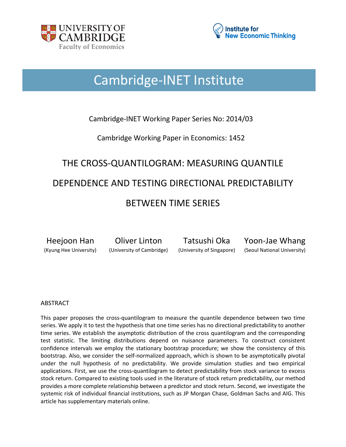



## Cambridge-INET Institute

### Cambridge-INET Working Paper Series No: 2014/03

Cambridge Working Paper in Economics: 1452

# THE CROSS-QUANTILOGRAM: MEASURING QUANTILE DEPENDENCE AND TESTING DIRECTIONAL PREDICTABILITY BETWEEN TIME SERIES

Heejoon Han Oliver Linton Tatsushi Oka Yoon-Jae Whang (Kyung Hee University) (University of Cambridge) (University of Singapore) (Seoul National University)

#### ABSTRACT

This paper proposes the cross-quantilogram to measure the quantile dependence between two time series. We apply it to test the hypothesis that one time series has no directional predictability to another time series. We establish the asymptotic distribution of the cross quantilogram and the corresponding test statistic. The limiting distributions depend on nuisance parameters. To construct consistent confidence intervals we employ the stationary bootstrap procedure; we show the consistency of this bootstrap. Also, we consider the self-normalized approach, which is shown to be asymptotically pivotal under the null hypothesis of no predictability. We provide simulation studies and two empirical applications. First, we use the cross-quantilogram to detect predictability from stock variance to excess stock return. Compared to existing tools used in the literature of stock return predictability, our method provides a more complete relationship between a predictor and stock return. Second, we investigate the systemic risk of individual financial institutions, such as JP Morgan Chase, Goldman Sachs and AIG. This article has supplementary materials online.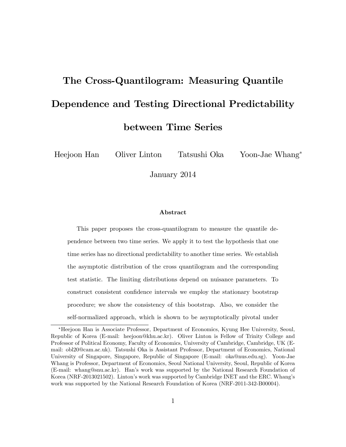# The Cross-Quantilogram: Measuring Quantile Dependence and Testing Directional Predictability between Time Series

Heejoon Han Oliver Linton Tatsushi Oka Yoon-Jae Whang

January 2014

#### Abstract

This paper proposes the cross-quantilogram to measure the quantile dependence between two time series. We apply it to test the hypothesis that one time series has no directional predictability to another time series. We establish the asymptotic distribution of the cross quantilogram and the corresponding test statistic. The limiting distributions depend on nuisance parameters. To construct consistent confidence intervals we employ the stationary bootstrap procedure; we show the consistency of this bootstrap. Also, we consider the self-normalized approach, which is shown to be asymptotically pivotal under

Heejoon Han is Associate Professor, Department of Economics, Kyung Hee University, Seoul, Republic of Korea (E-mail: heejoon@khu.ac.kr). Oliver Linton is Fellow of Trinity College and Professor of Political Economy, Faculty of Economics, University of Cambridge, Cambridge, UK (Email: obl20@cam.ac.uk). Tatsushi Oka is Assistant Professor, Department of Economics, National University of Singapore, Singapore, Republic of Singapore (E-mail: oka@nus.edu.sg). Yoon-Jae Whang is Professor, Department of Economics, Seoul National University, Seoul, Republic of Korea (E-mail: whang@snu.ac.kr). Hanís work was supported by the National Research Foundation of Korea (NRF-2013021502). Linton's work was supported by Cambridge INET and the ERC. Whang's work was supported by the National Research Foundation of Korea (NRF-2011-342-B00004).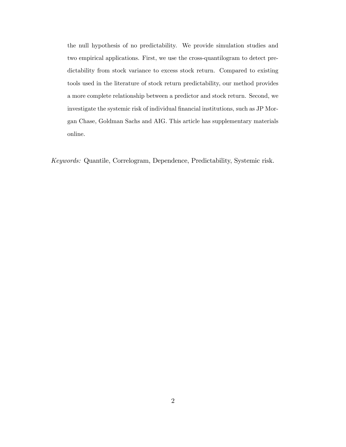the null hypothesis of no predictability. We provide simulation studies and two empirical applications. First, we use the cross-quantilogram to detect predictability from stock variance to excess stock return. Compared to existing tools used in the literature of stock return predictability, our method provides a more complete relationship between a predictor and stock return. Second, we investigate the systemic risk of individual financial institutions, such as JP Morgan Chase, Goldman Sachs and AIG. This article has supplementary materials online.

Keywords: Quantile, Correlogram, Dependence, Predictability, Systemic risk.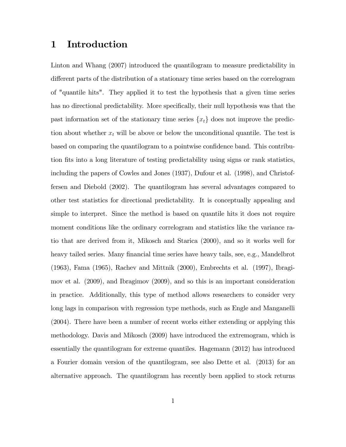## 1 Introduction

Linton and Whang (2007) introduced the quantilogram to measure predictability in different parts of the distribution of a stationary time series based on the correlogram of "quantile hits". They applied it to test the hypothesis that a given time series has no directional predictability. More specifically, their null hypothesis was that the past information set of the stationary time series  $\{x_t\}$  does not improve the prediction about whether  $x_t$  will be above or below the unconditional quantile. The test is based on comparing the quantilogram to a pointwise confidence band. This contribution fits into a long literature of testing predictability using signs or rank statistics, including the papers of Cowles and Jones (1937), Dufour et al. (1998), and Christoffersen and Diebold (2002). The quantilogram has several advantages compared to other test statistics for directional predictability. It is conceptually appealing and simple to interpret. Since the method is based on quantile hits it does not require moment conditions like the ordinary correlogram and statistics like the variance ratio that are derived from it, Mikosch and Starica (2000), and so it works well for heavy tailed series. Many financial time series have heavy tails, see, e.g., Mandelbrot (1963), Fama (1965), Rachev and Mittnik (2000), Embrechts et al. (1997), Ibragimov et al. (2009), and Ibragimov (2009), and so this is an important consideration in practice. Additionally, this type of method allows researchers to consider very long lags in comparison with regression type methods, such as Engle and Manganelli (2004). There have been a number of recent works either extending or applying this methodology. Davis and Mikosch (2009) have introduced the extremogram, which is essentially the quantilogram for extreme quantiles. Hagemann (2012) has introduced a Fourier domain version of the quantilogram, see also Dette et al. (2013) for an alternative approach. The quantilogram has recently been applied to stock returns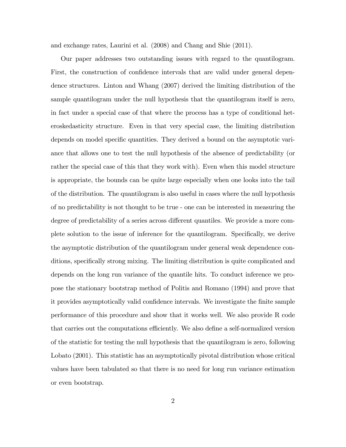and exchange rates, Laurini et al. (2008) and Chang and Shie (2011).

Our paper addresses two outstanding issues with regard to the quantilogram. First, the construction of confidence intervals that are valid under general dependence structures. Linton and Whang (2007) derived the limiting distribution of the sample quantilogram under the null hypothesis that the quantilogram itself is zero, in fact under a special case of that where the process has a type of conditional heteroskedasticity structure. Even in that very special case, the limiting distribution depends on model specific quantities. They derived a bound on the asymptotic variance that allows one to test the null hypothesis of the absence of predictability (or rather the special case of this that they work with). Even when this model structure is appropriate, the bounds can be quite large especially when one looks into the tail of the distribution. The quantilogram is also useful in cases where the null hypothesis of no predictability is not thought to be true - one can be interested in measuring the degree of predictability of a series across different quantiles. We provide a more complete solution to the issue of inference for the quantilogram. Specifically, we derive the asymptotic distribution of the quantilogram under general weak dependence conditions, specifically strong mixing. The limiting distribution is quite complicated and depends on the long run variance of the quantile hits. To conduct inference we propose the stationary bootstrap method of Politis and Romano (1994) and prove that it provides asymptotically valid confidence intervals. We investigate the finite sample performance of this procedure and show that it works well. We also provide R code that carries out the computations efficiently. We also define a self-normalized version of the statistic for testing the null hypothesis that the quantilogram is zero, following Lobato (2001). This statistic has an asymptotically pivotal distribution whose critical values have been tabulated so that there is no need for long run variance estimation or even bootstrap.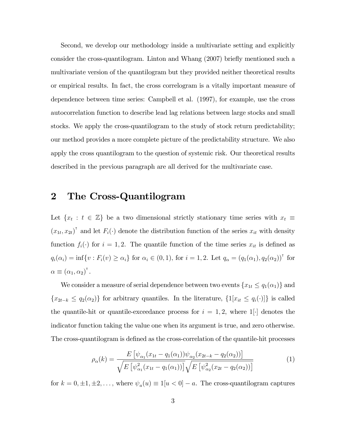Second, we develop our methodology inside a multivariate setting and explicitly consider the cross-quantilogram. Linton and Whang (2007) briefly mentioned such a multivariate version of the quantilogram but they provided neither theoretical results or empirical results. In fact, the cross correlogram is a vitally important measure of dependence between time series: Campbell et al. (1997), for example, use the cross autocorrelation function to describe lead lag relations between large stocks and small stocks. We apply the cross-quantilogram to the study of stock return predictability; our method provides a more complete picture of the predictability structure. We also apply the cross quantilogram to the question of systemic risk. Our theoretical results described in the previous paragraph are all derived for the multivariate case.

## 2 The Cross-Quantilogram

Let  $\{x_t : t \in \mathbb{Z}\}$  be a two dimensional strictly stationary time series with  $x_t \equiv$  $(x_{1t}, x_{2t})$ <sup>T</sup> and let  $F_i(\cdot)$  denote the distribution function of the series  $x_{it}$  with density function  $f_i(\cdot)$  for  $i = 1, 2$ . The quantile function of the time series  $x_{it}$  is defined as  $q_i(\alpha_i) = \inf\{v : F_i(v) \ge \alpha_i\}$  for  $\alpha_i \in (0, 1)$ , for  $i = 1, 2$ . Let  $q_\alpha = (q_1(\alpha_1), q_2(\alpha_2))^{\dagger}$  for  $\alpha \equiv (\alpha_1, \alpha_2)^{\dagger}.$ 

We consider a measure of serial dependence between two events  $\{x_{1t} \leq q_1(\alpha_1)\}\$  and  ${x_{2t-k} \le q_2(\alpha_2)}$  for arbitrary quantiles. In the literature,  $\{1[x_{it} \le q_i(\cdot)]\}$  is called the quantile-hit or quantile-exceedance process for  $i = 1, 2$ , where  $1[\cdot]$  denotes the indicator function taking the value one when its argument is true, and zero otherwise. The cross-quantilogram is defined as the cross-correlation of the quantile-hit processes

$$
\rho_{\alpha}(k) = \frac{E\left[\psi_{\alpha_1}(x_{1t} - q_1(\alpha_1))\psi_{\alpha_2}(x_{2t-k} - q_2(\alpha_2))\right]}{\sqrt{E\left[\psi_{\alpha_1}^2(x_{1t} - q_1(\alpha_1))\right]}\sqrt{E\left[\psi_{\alpha_2}^2(x_{2t} - q_2(\alpha_2))\right]}}
$$
(1)

for  $k = 0, \pm 1, \pm 2, \ldots$ , where  $\psi_a(u) \equiv 1[u < 0] - a$ . The cross-quantilogram captures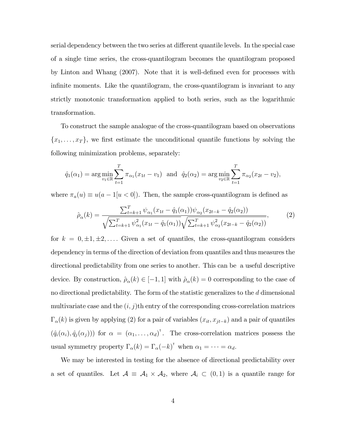serial dependency between the two series at different quantile levels. In the special case of a single time series, the cross-quantilogram becomes the quantilogram proposed by Linton and Whang (2007). Note that it is well-defined even for processes with infinite moments. Like the quantilogram, the cross-quantilogram is invariant to any strictly monotonic transformation applied to both series, such as the logarithmic transformation.

To construct the sample analogue of the cross-quantilogram based on observations  ${x_1, \ldots, x_T}$ , we first estimate the unconditional quantile functions by solving the following minimization problems, separately:

$$
\hat{q}_1(\alpha_1) = \arg \min_{v_1 \in \mathbb{R}} \sum_{t=1}^T \pi_{\alpha_1}(x_{1t} - v_1)
$$
 and  $\hat{q}_2(\alpha_2) = \arg \min_{v_2 \in \mathbb{R}} \sum_{t=1}^T \pi_{\alpha_2}(x_{2t} - v_2)$ ,

where  $\pi_a(u) \equiv u(a - 1[u < 0])$ . Then, the sample cross-quantilogram is defined as

$$
\hat{\rho}_{\alpha}(k) = \frac{\sum_{t=k+1}^{T} \psi_{\alpha_1}(x_{1t} - \hat{q}_1(\alpha_1)) \psi_{\alpha_2}(x_{2t-k} - \hat{q}_2(\alpha_2))}{\sqrt{\sum_{t=k+1}^{T} \psi_{\alpha_1}^2(x_{1t} - \hat{q}_1(\alpha_1))} \sqrt{\sum_{t=k+1}^{T} \psi_{\alpha_2}^2(x_{2t-k} - \hat{q}_2(\alpha_2))}},
$$
\n(2)

for  $k = 0, \pm 1, \pm 2, \ldots$  Given a set of quantiles, the cross-quantilogram considers dependency in terms of the direction of deviation from quantiles and thus measures the directional predictability from one series to another. This can be a useful descriptive device. By construction,  $\hat{\rho}_{\alpha}(k) \in [-1, 1]$  with  $\hat{\rho}_{\alpha}(k) = 0$  corresponding to the case of no directional predictability. The form of the statistic generalizes to the d dimensional multivariate case and the  $(i, j)$ th entry of the corresponding cross-correlation matrices  $\Gamma_{\alpha}(k)$  is given by applying (2) for a pair of variables  $(x_{it}, x_{jt-k})$  and a pair of quantiles  $(\hat{q}_i(\alpha_i), \hat{q}_j(\alpha_j))$  for  $\alpha = (\alpha_1, \ldots, \alpha_d)$ <sup>T</sup>. The cross-correlation matrices possess the usual symmetry property  $\Gamma_{\alpha}(k) = \Gamma_{\alpha}(-k)^{\dagger}$  when  $\alpha_1 = \cdots = \alpha_d$ .

We may be interested in testing for the absence of directional predictability over a set of quantiles. Let  $A \equiv A_1 \times A_2$ , where  $A_i \subset (0,1)$  is a quantile range for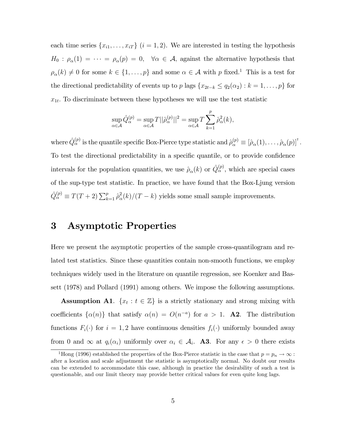each time series  $\{x_{i1}, \ldots, x_{iT}\}\ (i = 1, 2)$ . We are interested in testing the hypothesis  $H_0: \rho_\alpha(1) = \cdots = \rho_\alpha(p) = 0, \quad \forall \alpha \in \mathcal{A}$ , against the alternative hypothesis that  $\rho_{\alpha}(k) \neq 0$  for some  $k \in \{1, \ldots, p\}$  and some  $\alpha \in \mathcal{A}$  with p fixed.<sup>1</sup> This is a test for the directional predictability of events up to p lags  $\{x_{2t-k} \le q_2(\alpha_2) : k = 1, \ldots, p\}$  for  $x_{1t}$ . To discriminate between these hypotheses we will use the test statistic

$$
\sup_{\alpha \in \mathcal{A}} \hat{Q}_{\alpha}^{(p)} = \sup_{\alpha \in \mathcal{A}} T ||\hat{\rho}_{\alpha}^{(p)}||^2 = \sup_{\alpha \in \mathcal{A}} T \sum_{k=1}^{p} \hat{\rho}_{\alpha}^2(k),
$$

where  $\hat{Q}^{(p)}_{\alpha}$  is the quantile specific Box-Pierce type statistic and  $\hat{\rho}^{(p)}_{\alpha} \equiv [\hat{\rho}_{\alpha}(1), \dots, \hat{\rho}_{\alpha}(p)]^{\dagger}$ . To test the directional predictability in a specific quantile, or to provide confidence intervals for the population quantities, we use  $\hat{\rho}_{\alpha}(k)$  or  $\hat{Q}^{(p)}_{\alpha}$ , which are special cases of the sup-type test statistic. In practice, we have found that the Box-Ljung version  $\hat{Q}_{\alpha}^{(p)} \equiv T(T + 2) \sum_{k=1}^{p} \hat{\rho}_{\alpha}^{2}$  $\binom{2}{\alpha}(k)/(T-k)$  yields some small sample improvements.

## 3 Asymptotic Properties

Here we present the asymptotic properties of the sample cross-quantilogram and related test statistics. Since these quantities contain non-smooth functions, we employ techniques widely used in the literature on quantile regression, see Koenker and Bassett (1978) and Pollard (1991) among others. We impose the following assumptions.

**Assumption A1.**  $\{x_t : t \in \mathbb{Z}\}\)$  is a strictly stationary and strong mixing with coefficients  $\{\alpha(n)\}\)$  that satisfy  $\alpha(n) = O(n^{-a})$  for  $a > 1$ . **A2**. The distribution functions  $F_i(\cdot)$  for  $i = 1, 2$  have continuous densities  $f_i(\cdot)$  uniformly bounded away from 0 and  $\infty$  at  $q_i(\alpha_i)$  uniformly over  $\alpha_i \in \mathcal{A}_i$ . **A3**. For any  $\epsilon > 0$  there exists

<sup>&</sup>lt;sup>1</sup>Hong (1996) established the properties of the Box-Pierce statistic in the case that  $p = p_n \to \infty$ : after a location and scale adjustment the statistic is asymptotically normal. No doubt our results can be extended to accommodate this case, although in practice the desirability of such a test is questionable, and our limit theory may provide better critical values for even quite long lags.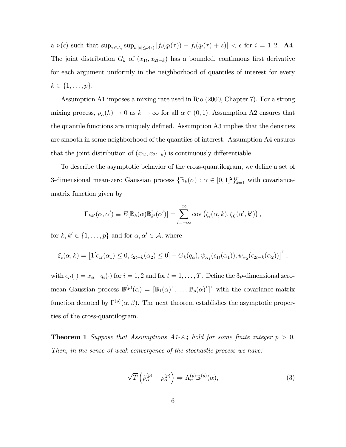a  $\nu(\epsilon)$  such that  $\sup_{\tau \in A_i} \sup_{s:|s| \leq \nu(\epsilon)} |f_i(q_i(\tau)) - f_i(q_i(\tau) + s)| < \epsilon$  for  $i = 1, 2$ . **A4.** The joint distribution  $G_k$  of  $(x_{1t}, x_{2t-k})$  has a bounded, continuous first derivative for each argument uniformly in the neighborhood of quantiles of interest for every  $k \in \{1, \ldots, p\}.$ 

Assumption A1 imposes a mixing rate used in Rio (2000, Chapter 7). For a strong mixing process,  $\rho_{\alpha}(k) \to 0$  as  $k \to \infty$  for all  $\alpha \in (0, 1)$ . Assumption A2 ensures that the quantile functions are uniquely defined. Assumption A3 implies that the densities are smooth in some neighborhood of the quantiles of interest. Assumption A4 ensures that the joint distribution of  $(x_{1t}, x_{2t-k})$  is continuously differentiable.

To describe the asymptotic behavior of the cross-quantilogram, we define a set of 3-dimensional mean-zero Gaussian process  $\{\mathbb{B}_k(\alpha) : \alpha \in [0,1]^2\}_{k=1}^p$  with covariancematrix function given by

$$
\Gamma_{kk'}(\alpha,\alpha') \equiv E[\mathbb{B}_k(\alpha)\mathbb{B}_{k'}^{\dagger}(\alpha')] = \sum_{l=-\infty}^{\infty} \text{cov}(\xi_l(\alpha,k),\xi_0^{\dagger}(\alpha',k'))
$$

for  $k, k' \in \{1, ..., p\}$  and for  $\alpha, \alpha' \in \mathcal{A}$ , where

$$
\xi_t(\alpha,k) = \left[1[\epsilon_{1t}(\alpha_1) \leq 0, \epsilon_{2t-k}(\alpha_2) \leq 0] - G_k(q_\alpha), \psi_{\alpha_1}(\epsilon_{1t}(\alpha_1)), \psi_{\alpha_2}(\epsilon_{2t-k}(\alpha_2))\right]^{\mathsf{T}},
$$

with  $\epsilon_{it}(\cdot) = x_{it} - q_i(\cdot)$  for  $i = 1, 2$  and for  $t = 1, \ldots, T$ . Define the 3p-dimensional zeromean Gaussian process  $\mathbb{B}^{(p)}(\alpha) = [\mathbb{B}_1(\alpha)^{\mathsf{T}}, \dots, \mathbb{B}_p(\alpha)^{\mathsf{T}}]^{\mathsf{T}}$  with the covariance-matrix function denoted by  $\Gamma^{(p)}(\alpha, \beta)$ . The next theorem establishes the asymptotic properties of the cross-quantilogram.

**Theorem 1** Suppose that Assumptions A1-A4 hold for some finite integer  $p > 0$ . Then, in the sense of weak convergence of the stochastic process we have:

$$
\sqrt{T}\left(\hat{\rho}_{\alpha}^{(p)} - \rho_{\alpha}^{(p)}\right) \Rightarrow \Lambda_{\alpha}^{(p)}\mathbb{B}^{(p)}(\alpha),\tag{3}
$$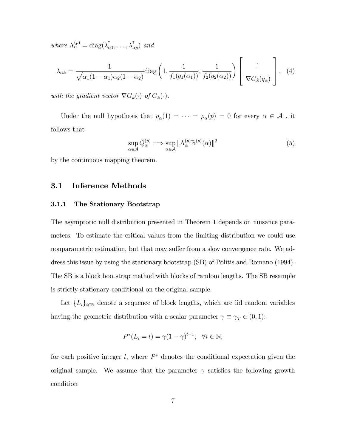where  $\Lambda_{\alpha}^{(p)} = \text{diag}(\lambda_{\alpha}^{\dagger})$  $\lambda_{\alpha 1}^{\dagger}, \ldots, \lambda_{\alpha p}^{\dagger}$  and

$$
\lambda_{\alpha k} = \frac{1}{\sqrt{\alpha_1 (1 - \alpha_1) \alpha_2 (1 - \alpha_2)}} \text{diag}\left(1, \frac{1}{f_1(q_1(\alpha_1))}, \frac{1}{f_2(q_2(\alpha_2))}\right) \left[\begin{array}{c}1\\ \nabla G_k(q_\alpha)\end{array}\right], (4)
$$

with the gradient vector  $\nabla G_k(\cdot)$  of  $G_k(\cdot)$ .

Under the null hypothesis that  $\rho_{\alpha}(1) = \cdots = \rho_{\alpha}(p) = 0$  for every  $\alpha \in \mathcal{A}$ , it follows that

$$
\sup_{\alpha \in \mathcal{A}} \hat{Q}_{\alpha}^{(p)} \Longrightarrow \sup_{\alpha \in \mathcal{A}} \| \Lambda_{\alpha}^{(p)} \mathbb{B}^{(p)}(\alpha) \|^{2}
$$
\n(5)

 $\mathbf{r}$ 

by the continuous mapping theorem.

#### 3.1 Inference Methods

#### 3.1.1 The Stationary Bootstrap

The asymptotic null distribution presented in Theorem 1 depends on nuisance parameters. To estimate the critical values from the limiting distribution we could use nonparametric estimation, but that may suffer from a slow convergence rate. We address this issue by using the stationary bootstrap (SB) of Politis and Romano (1994). The SB is a block bootstrap method with blocks of random lengths. The SB resample is strictly stationary conditional on the original sample.

Let  ${L_i}_{i\in\mathbb{N}}$  denote a sequence of block lengths, which are iid random variables having the geometric distribution with a scalar parameter  $\gamma\equiv\gamma_T\in(0,1)$ :

$$
P^*(L_i = l) = \gamma (1 - \gamma)^{l-1}, \quad \forall i \in \mathbb{N},
$$

for each positive integer  $l$ , where  $P^*$  denotes the conditional expectation given the original sample. We assume that the parameter  $\gamma$  satisfies the following growth condition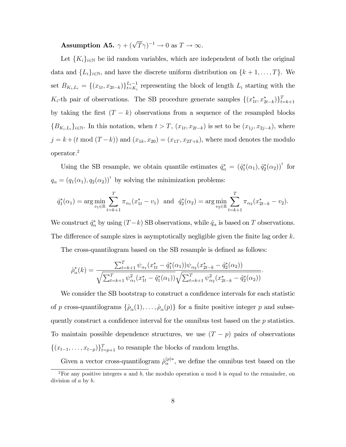Assumption A5.  $\gamma + (\sqrt{T}\gamma)^{-1} \to 0$  as  $T \to \infty$ .

Let  $\{K_i\}_{i\in\mathbb{N}}$  be iid random variables, which are independent of both the original data and  $\{L_i\}_{i\in\mathbb{N}}$ , and have the discrete uniform distribution on  $\{k+1,\ldots,T\}$ . We set  $B_{K_i,L_i} = \{(x_{1t}, x_{2t-k})\}_{t=K_i}^{L_i-1}$  representing the block of length  $L_i$  starting with the  $K_i$ -th pair of observations. The SB procedure generate samples  $\{(x_{1t}^*, x_{2t-k}^*)\}_{t=k+1}^T$ by taking the first  $(T - k)$  observations from a sequence of the resampled blocks  ${B_{K_i,L_i}}_{i\in\mathbb{N}}$ . In this notation, when  $t>T$ ,  $(x_{1t}, x_{2t-k})$  is set to be  $(x_{1j}, x_{2j-k})$ , where  $j = k + (t \mod (T - k))$  and  $(x_{1k}, x_{20}) = (x_{1T}, x_{2T+k})$ , where mod denotes the modulo operator.<sup>2</sup>

Using the SB resample, we obtain quantile estimates  $\hat{q}^*_\alpha = (\hat{q}_1^*(\alpha_1), \hat{q}_2^*(\alpha_2))^{\dagger}$  for  $q_{\alpha} = (q_1(\alpha_1), q_2(\alpha_2))^{\dagger}$  by solving the minimization problems:

$$
\hat{q}_1^*(\alpha_1) = \arg \min_{v_1 \in \mathbb{R}} \sum_{t=k+1}^T \pi_{\alpha_1}(x_{1t}^* - v_1) \text{ and } \hat{q}_2^*(\alpha_2) = \arg \min_{v_2 \in \mathbb{R}} \sum_{t=k+1}^T \pi_{\alpha_2}(x_{2t-k}^* - v_2).
$$

We construct  $\hat{q}^*_{\alpha}$  by using  $(T - k)$  SB observations, while  $\hat{q}_{\alpha}$  is based on T observations. The difference of sample sizes is asymptotically negligible given the finite lag order  $k$ .

The cross-quantilogram based on the SB resample is defined as follows:

$$
\hat{\rho}_{\alpha}^*(k) = \frac{\sum_{t=k+1}^T \psi_{\alpha_1}(x_{1t}^* - \hat{q}_1^*(\alpha_1))\psi_{\alpha_2}(x_{2t-k}^* - \hat{q}_2^*(\alpha_2))}{\sqrt{\sum_{t=k+1}^T \psi_{\alpha_1}^2(x_{1t}^* - \hat{q}_1^*(\alpha_1))}\sqrt{\sum_{t=k+1}^T \psi_{\alpha_2}^2(x_{2t-k}^* - \hat{q}_2^*(\alpha_2))}}.
$$

We consider the SB bootstrap to construct a confidence intervals for each statistic of p cross-quantilograms  $\{\hat{\rho}_{\alpha}(1), \ldots, \hat{\rho}_{\alpha}(p)\}\$  for a finite positive integer p and subsequently construct a confidence interval for the omnibus test based on the  $p$  statistics. To maintain possible dependence structures, we use  $(T - p)$  pairs of observations  $\{(x_{t-1}, \ldots, x_{t-p})\}_{t=p+1}^T$  to resample the blocks of random lengths.

Given a vector cross-quantilogram  $\hat{\rho}^{(p)*}_{\alpha}$ , we define the omnibus test based on the

<sup>&</sup>lt;sup>2</sup>For any positive integers  $a$  and  $b$ , the modulo operation  $a$  mod  $b$  is equal to the remainder, on division of a by b.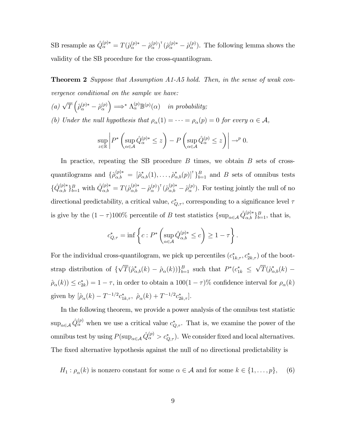SB resample as  $\hat{Q}_{\alpha}^{(p)*} = T(\hat{\rho}_{\alpha}^{(p)*} - \hat{\rho}_{\alpha}^{(p)})$  $\binom{(p)}{\alpha}^{\intercal}\big(\hat{\rho}_{\alpha}^{(p)*}-\hat{\rho}_{\alpha}^{(p)}$  $\binom{(p)}{\alpha}$ . The following lemma shows the validity of the SB procedure for the cross-quantilogram.

**Theorem 2** Suppose that Assumption A1-A5 hold. Then, in the sense of weak convergence conditional on the sample we have:

(a) 
$$
\sqrt{T}\left(\hat{\rho}_{\alpha}^{(p)*} - \hat{\rho}_{\alpha}^{(p)}\right) \Longrightarrow^* \Lambda_{\alpha}^{(p)}\mathbb{B}^{(p)}(\alpha)
$$
 in probability;  
(b) Under the null hypothesis that  $\rho_{\alpha}(1) = \cdots = \rho_{\alpha}(p) = 0$  for every  $\alpha \in \mathcal{A}$ ,

$$
\sup_{z\in\mathbb{R}}\left|P^*\left(\sup_{\alpha\in\mathcal{A}}\hat{Q}_\alpha^{(p)*}\leq z\right)-P\left(\sup_{\alpha\in\mathcal{A}}\hat{Q}_\alpha^{(p)}\leq z\right)\right|\to^p0.
$$

In practice, repeating the SB procedure  $B$  times, we obtain  $B$  sets of crossquantilograms and  $\{\hat{\rho}_{\alpha,b}^{(p)*} = [\hat{\rho}_{\alpha,b}^*(1), \ldots, \hat{\rho}_{\alpha,b}^*(p)]^{\dagger}\}_{b=1}^B$  and B sets of omnibus tests  $\{\hat{Q}_{\alpha,b}^{(p)*}\}_{b=1}^B$  with  $\hat{Q}_{\alpha,b}^{(p)*} = T(\hat{\rho}_{\alpha,b}^{(p)*} - \hat{\rho}_{\alpha}^{(p)})$  $\binom{(p)}{\alpha}^{\intercal}\big(\hat{\rho}_{\alpha,b}^{(p)*}-\hat{\rho}_{\alpha}^{(p)}$  $\binom{p}{\alpha}$ . For testing jointly the null of no directional predictability, a critical value,  $c^*_{Q,\tau}$ , corresponding to a significance level  $\tau$ is give by the  $(1 - \tau)100\%$  percentile of B test statistics  $\{\sup_{\alpha \in A} \hat{Q}_{\alpha,b}^{(p)*}\}_{b=1}^B$ , that is,

$$
c_{Q,\tau}^* = \inf \left\{ c : P^* \left( \sup_{\alpha \in \mathcal{A}} \hat{Q}_{\alpha,b}^{(p)*} \le c \right) \ge 1 - \tau \right\}.
$$

For the individual cross-quantilogram, we pick up percentiles  $(c_{1k,\tau}^*, c_{2k,\tau}^*)$  of the bootstrap distribution of  $\{\sqrt{T}(\hat{\rho}_{\alpha,b}^*(k) - \hat{\rho}_{\alpha}(k))\}_{b=1}^B$  such that  $P^*(c_{1k}^* \leq$  $\sqrt{T}(\hat{\rho}_{\alpha,b}^*(k) \hat{\rho}_{\alpha}(k)$ )  $\leq c_{2k}^*$ ) = 1 -  $\tau$ , in order to obtain a 100(1 -  $\tau$ )% confidence interval for  $\rho_{\alpha}(k)$ given by  $[\hat{\rho}_{\alpha}(k) - T^{-1/2} c_{1k,\tau}^*, \ \hat{\rho}_{\alpha}(k) + T^{-1/2} c_{2k,\tau}^*].$ 

In the following theorem, we provide a power analysis of the omnibus test statistic  $\sup_{\alpha \in A} \hat{Q}_{\alpha}^{(p)}$  when we use a critical value  $c_{Q,\tau}^*$ . That is, we examine the power of the omnibus test by using  $P(\sup_{\alpha \in A} \hat{Q}^{(p)}_{\alpha} > c^*_{Q,\tau})$ . We consider fixed and local alternatives. The fixed alternative hypothesis against the null of no directional predictability is

 $H_1: \rho_\alpha(k)$  is nonzero constant for some  $\alpha \in \mathcal{A}$  and for some  $k \in \{1, \ldots, p\}$ , (6)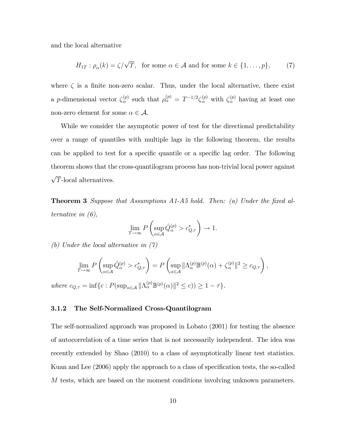and the local alternative

$$
H_{1T} : \rho_{\alpha}(k) = \zeta/\sqrt{T}, \text{ for some } \alpha \in \mathcal{A} \text{ and for some } k \in \{1, ..., p\},\tag{7}
$$

where  $\zeta$  is a finite non-zero scalar. Thus, under the local alternative, there exist a *p*-dimensional vector  $\zeta_{\alpha}^{(p)}$  $S_{\alpha}^{(p)}$  such that  $\rho_{\alpha}^{(p)} = T^{-1/2} \zeta_{\alpha}^{(p)}$  with  $\zeta_{\alpha}^{(p)}$  having at least one non-zero element for some  $\alpha \in \mathcal{A}$ .

While we consider the asymptotic power of test for the directional predictability over a range of quantiles with multiple lags in the following theorem, the results can be applied to test for a specific quantile or a specific lag order. The following theorem shows that the cross-quantilogram process has non-trivial local power against  $\sqrt{T}$ -local alternatives.

**Theorem 3** Suppose that Assumptions  $A1-A5$  hold. Then: (a) Under the fixed alternative in (6),

$$
\lim_{T \to \infty} P\left(\sup_{\alpha \in \mathcal{A}} \hat{Q}_{\alpha}^{(p)} > c_{Q,\tau}^* \right) \to 1.
$$

(b) Under the local alternative in (7)

$$
\lim_{T \to \infty} P\left(\sup_{\alpha \in \mathcal{A}} \hat{Q}_{\alpha}^{(p)} > c_{Q,\tau}^*\right) = P\left(\sup_{\alpha \in \mathcal{A}} \|\Lambda_{\alpha}^{(p)}\mathbb{B}^{(p)}(\alpha) + \zeta_{\alpha}^{(p)}\|^2 \ge c_{Q,\tau}\right),
$$

where  $c_{Q,\tau} = \inf \{ c : P(\sup_{\alpha \in \mathcal{A}} || \Lambda_{\alpha}^{(p)} \mathbb{B}^{(p)}(\alpha) ||^2 \leq c) ) \geq 1 - \tau \}.$ 

#### 3.1.2 The Self-Normalized Cross-Quantilogram

The self-normalized approach was proposed in Lobato (2001) for testing the absence of autocorrelation of a time series that is not necessarily independent. The idea was recently extended by Shao (2010) to a class of asymptotically linear test statistics. Kuan and Lee (2006) apply the approach to a class of specification tests, the so-called M tests, which are based on the moment conditions involving unknown parameters.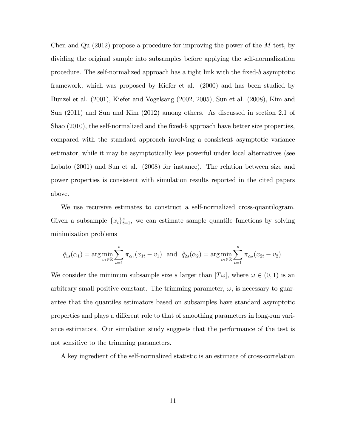Chen and Qu  $(2012)$  propose a procedure for improving the power of the M test, by dividing the original sample into subsamples before applying the self-normalization procedure. The self-normalized approach has a tight link with the Öxed-b asymptotic framework, which was proposed by Kiefer et al. (2000) and has been studied by Bunzel et al. (2001), Kiefer and Vogelsang (2002, 2005), Sun et al. (2008), Kim and Sun (2011) and Sun and Kim (2012) among others. As discussed in section 2.1 of Shao  $(2010)$ , the self-normalized and the fixed-b approach have better size properties, compared with the standard approach involving a consistent asymptotic variance estimator, while it may be asymptotically less powerful under local alternatives (see Lobato (2001) and Sun et al. (2008) for instance). The relation between size and power properties is consistent with simulation results reported in the cited papers above.

We use recursive estimates to construct a self-normalized cross-quantilogram. Given a subsample  ${x_t}_{t=1}^s$ , we can estimate sample quantile functions by solving minimization problems

$$
\hat{q}_{1s}(\alpha_1) = \arg \min_{v_1 \in \mathbb{R}} \sum_{t=1}^s \pi_{\alpha_1}(x_{1t} - v_1)
$$
 and  $\hat{q}_{2s}(\alpha_2) = \arg \min_{v_2 \in \mathbb{R}} \sum_{t=1}^s \pi_{\alpha_2}(x_{2t} - v_2).$ 

We consider the minimum subsample size s larger than  $|T\omega|$ , where  $\omega \in (0,1)$  is an arbitrary small positive constant. The trimming parameter,  $\omega$ , is necessary to guarantee that the quantiles estimators based on subsamples have standard asymptotic properties and plays a different role to that of smoothing parameters in long-run variance estimators. Our simulation study suggests that the performance of the test is not sensitive to the trimming parameters.

A key ingredient of the self-normalized statistic is an estimate of cross-correlation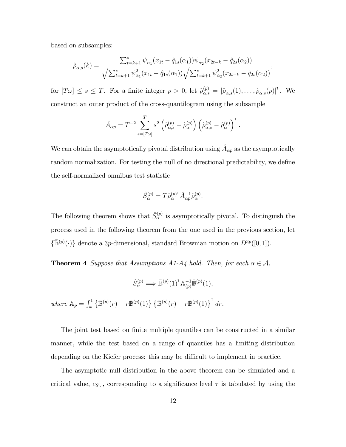based on subsamples:

$$
\hat{\rho}_{\alpha,s}(k) = \frac{\sum_{t=k+1}^{s} \psi_{\alpha_1}(x_{1t} - \hat{q}_{1s}(\alpha_1)) \psi_{\alpha_2}(x_{2t-k} - \hat{q}_{2s}(\alpha_2))}{\sqrt{\sum_{t=k+1}^{s} \psi_{\alpha_1}^2(x_{1t} - \hat{q}_{1s}(\alpha_1))} \sqrt{\sum_{t=k+1}^{s} \psi_{\alpha_2}^2(x_{2t-k} - \hat{q}_{2s}(\alpha_2))}},
$$

for  $[T\omega] \leq s \leq T$ . For a finite integer  $p > 0$ , let  $\hat{\rho}_{\alpha,s}^{(p)} = [\hat{\rho}_{\alpha,s}(1), \ldots, \hat{\rho}_{\alpha,s}(p)]^{\dagger}$ . We construct an outer product of the cross-quantilogram using the subsample

$$
\hat{A}_{\alpha p} = T^{-2} \sum_{s=[T\omega]}^{T} s^2 \left( \hat{\rho}_{\alpha,s}^{(p)} - \hat{\rho}_{\alpha}^{(p)} \right) \left( \hat{\rho}_{\alpha,s}^{(p)} - \hat{\rho}_{\alpha}^{(p)} \right)^{\dagger}.
$$

We can obtain the asymptotically pivotal distribution using  $\hat{A}_{\alpha p}$  as the asymptotically random normalization. For testing the null of no directional predictability, we define the self-normalized omnibus test statistic

$$
\hat{S}_{\alpha}^{(p)} = T \hat{\rho}_{\alpha}^{(p)\dagger} \hat{A}_{\alpha p}^{-1} \hat{\rho}_{\alpha}^{(p)}.
$$

The following theorem shows that  $\hat{S}^{(p)}_{\alpha}$  is asymptotically pivotal. To distinguish the process used in the following theorem from the one used in the previous section, let  $\{\mathbb{\bar{B}}^{(p)}(\cdot)\}\$  denote a 3p-dimensional, standard Brownian motion on  $D^{3p}([0,1])$ .

**Theorem 4** Suppose that Assumptions A1-A4 hold. Then, for each  $\alpha \in \mathcal{A}$ ,

$$
\hat{S}_{\alpha}^{(p)} \Longrightarrow \bar{\mathbb{B}}^{(p)}(1)^{\dagger} \mathbb{A}_{(p)}^{-1} \bar{\mathbb{B}}^{(p)}(1),
$$
  
where  $\mathbb{A}_p = \int_{\omega}^1 \left\{ \bar{\mathbb{B}}^{(p)}(r) - r \bar{\mathbb{B}}^{(p)}(1) \right\} \left\{ \bar{\mathbb{B}}^{(p)}(r) - r \bar{\mathbb{B}}^{(p)}(1) \right\}^{\dagger} dr.$ 

The joint test based on finite multiple quantiles can be constructed in a similar manner, while the test based on a range of quantiles has a limiting distribution depending on the Kiefer process: this may be difficult to implement in practice.

The asymptotic null distribution in the above theorem can be simulated and a critical value,  $c_{S,\tau}$ , corresponding to a significance level  $\tau$  is tabulated by using the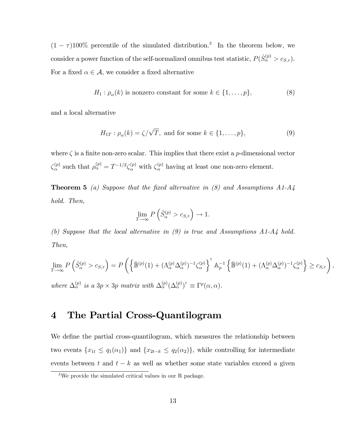$(1 - \tau)100\%$  percentile of the simulated distribution.<sup>3</sup> In the theorem below, we consider a power function of the self-normalized omnibus test statistic,  $P(\hat{S}^{(p)}_{\alpha} > c_{S,\tau}).$ For a fixed  $\alpha \in \mathcal{A}$ , we consider a fixed alternative

$$
H_1: \rho_\alpha(k) \text{ is nonzero constant for some } k \in \{1, \dots, p\},\tag{8}
$$

and a local alternative

$$
H_{1T} : \rho_{\alpha}(k) = \zeta/\sqrt{T}, \text{ and for some } k \in \{1, \dots, p\},\tag{9}
$$

where  $\zeta$  is a finite non-zero scalar. This implies that there exist a p-dimensional vector  $\zeta_\alpha^{(p)}$  $S_{\alpha}^{(p)}$  such that  $\rho_{\alpha}^{(p)} = T^{-1/2} \zeta_{\alpha}^{(p)}$  with  $\zeta_{\alpha}^{(p)}$  having at least one non-zero element.

**Theorem 5** (a) Suppose that the fixed alternative in (8) and Assumptions  $A1-A4$ hold. Then,

$$
\lim_{T \to \infty} P\left(\hat{S}_{\alpha}^{(p)} > c_{S,\tau}\right) \to 1.
$$

(b) Suppose that the local alternative in (9) is true and Assumptions A1-A4 hold. Then,

$$
\lim_{T \to \infty} P\left(\hat{S}_{\alpha}^{(p)} > c_{S,\tau}\right) = P\left(\left\{\bar{\mathbb{B}}^{(p)}(1) + (\Lambda_{\alpha}^{(p)}\Delta_{\alpha}^{(p)})^{-1}\zeta_{\alpha}^{(p)}\right\}^{\tau} A_{p}^{-1} \left\{\bar{\mathbb{B}}^{(p)}(1) + (\Lambda_{\alpha}^{(p)}\Delta_{\alpha}^{(p)})^{-1}\zeta_{\alpha}^{(p)}\right\} \geq c_{S,\tau}\right),
$$
\nwhere  $\Delta_{\alpha}^{(p)}$  is a  $3p \times 3p$  matrix with  $\Delta_{\alpha}^{(p)}(\Delta_{\alpha}^{(p)})^{\tau} \equiv \Gamma^{p}(\alpha, \alpha)$ .

## 4 The Partial Cross-Quantilogram

We define the partial cross-quantilogram, which measures the relationship between two events  $\{x_{1t} \leq q_1(\alpha_1)\}\$  and  $\{x_{2t-k} \leq q_2(\alpha_2)\}\$ , while controlling for intermediate events between t and  $t - k$  as well as whether some state variables exceed a given

 $\sqrt[3]{3}$  We provide the simulated critical values in our R package.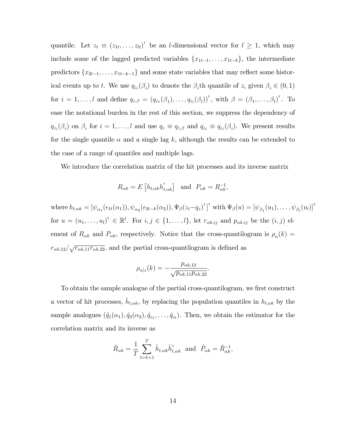quantile. Let  $z_t \equiv (z_{1t}, \ldots, z_{lt})^{\dagger}$  be an *l*-dimensional vector for  $l \geq 1$ , which may include some of the lagged predicted variables  $\{x_{1t-1}, \ldots, x_{1t-k}\}$ , the intermediate predictors  $\{x_{2t-1}, \ldots, x_{1t-k-1}\}\$  and some state variables that may reflect some historical events up to t. We use  $q_{z_i}(\beta_i)$  to denote the  $\beta_i$ th quantile of  $z_i$  given  $\beta_i \in (0,1)$ for  $i = 1, \ldots, l$  and define  $q_{z,\beta} = (q_{z_1}(\beta_1), \ldots, q_{z_l}(\beta_l))^\mathsf{T}$ , with  $\beta = (\beta_1, \ldots, \beta_l)^\mathsf{T}$ . To ease the notational burden in the rest of this section, we suppress the dependency of  $q_{z_i}(\beta_i)$  on  $\beta_i$  for  $i=1,\ldots,l$  and use  $q_z \equiv q_{z,\beta}$  and  $q_{z_i} \equiv q_{z_i}(\beta_i)$ . We present results for the single quantile  $\alpha$  and a single lag k, although the results can be extended to the case of a range of quantiles and multiple lags.

We introduce the correlation matrix of the hit processes and its inverse matrix

$$
R_{\alpha k} = E\left[h_{t,\alpha k} h_{t,\alpha k}^{\mathsf{T}}\right] \quad \text{and} \quad P_{\alpha k} = R_{\alpha k}^{-1},
$$

where  $h_{t,\alpha k} = [\psi_{\alpha_1}(\epsilon_{1t}(\alpha_1)), \psi_{\alpha_2}(\epsilon_{2t-k}(\alpha_2)), \Psi_{\beta}(z_t - q_z)^{\dagger}]^{\dagger}$  with  $\Psi_{\beta}(u) = [\psi_{\beta_1}(u_1), \dots, \psi_{\beta_l}(u_l)]^{\dagger}$ for  $u = (u_1, \ldots, u_l)^{\dagger} \in \mathbb{R}^l$ . For  $i, j \in \{1, \ldots, l\}$ , let  $r_{\alpha k, i j}$  and  $p_{\alpha k, i j}$  be the  $(i, j)$  element of  $R_{\alpha k}$  and  $P_{\alpha k}$ , respectively. Notice that the cross-quantilogram is  $\rho_{\alpha}(k)$  =  $r_{\alpha k,12}/\sqrt{r_{\alpha k,11}r_{\alpha k,22}}$ , and the partial cross-quantilogram is defined as

:

$$
\rho_{\alpha|z}(k) = -\frac{p_{\alpha k,12}}{\sqrt{p_{\alpha k,11}p_{\alpha k,22}}}
$$

To obtain the sample analogue of the partial cross-quantilogram, we first construct a vector of hit processes,  $\hat{h}_{t,\alpha k}$ , by replacing the population quantiles in  $h_{t,\alpha k}$  by the sample analogues  $(\hat{q}_1(\alpha_1), \hat{q}_2(\alpha_2), \hat{q}_{z_1}, \dots, \hat{q}_{z_l})$ . Then, we obtain the estimator for the correlation matrix and its inverse as

$$
\hat{R}_{\alpha k} = \frac{1}{T} \sum_{t=k+1}^T \hat{h}_{t,\alpha k} \hat{h}_{t,\alpha k}^{\mathsf{T}} \text{ and } \hat{P}_{\alpha k} = \hat{R}_{\alpha k}^{-1},
$$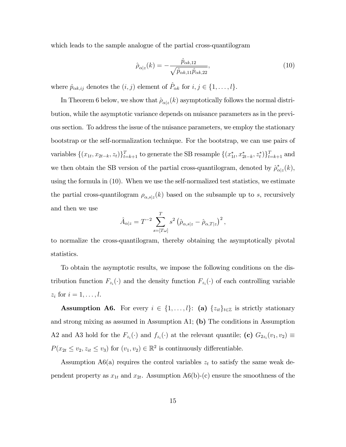which leads to the sample analogue of the partial cross-quantilogram

$$
\hat{\rho}_{\alpha|z}(k) = -\frac{\hat{p}_{\alpha k,12}}{\sqrt{\hat{p}_{\alpha k,11}\hat{p}_{\alpha k,22}}},\tag{10}
$$

where  $\hat{p}_{\alpha k,ij}$  denotes the  $(i, j)$  element of  $\hat{P}_{\alpha k}$  for  $i, j \in \{1, ..., l\}$ .

In Theorem 6 below, we show that  $\hat{\rho}_{\alpha|z}(k)$  asymptotically follows the normal distribution, while the asymptotic variance depends on nuisance parameters as in the previous section. To address the issue of the nuisance parameters, we employ the stationary bootstrap or the self-normalization technique. For the bootstrap, we can use pairs of variables  $\{(x_{1t}, x_{2t-k}, z_t)\}_{t=k+1}^T$  to generate the SB resample  $\{(x_{1t}^*, x_{2t-k}^*, z_t^*)\}_{t=k+1}^T$  and we then obtain the SB version of the partial cross-quantilogram, denoted by  $\hat{\rho}^*_{\alpha|z}(k)$ , using the formula in (10). When we use the self-normalized test statistics, we estimate the partial cross-quantilogram  $\rho_{\alpha,s|z}(k)$  based on the subsample up to s, recursively and then we use

$$
\hat{A}_{\alpha|z} = T^{-2} \sum_{s=[T\omega]}^{T} s^2 \left( \hat{\rho}_{\alpha,s|z} - \hat{\rho}_{\alpha,T|z} \right)^2,
$$

to normalize the cross-quantilogram, thereby obtaining the asymptotically pivotal statistics.

To obtain the asymptotic results, we impose the following conditions on the distribution function  $F_{z_i}(\cdot)$  and the density function  $F_{z_i}(\cdot)$  of each controlling variable  $z_i$  for  $i = 1, \ldots, l$ .

**Assumption A6.** For every  $i \in \{1, ..., l\}$ : (a)  $\{z_{it}\}_{t \in \mathbb{Z}}$  is strictly stationary and strong mixing as assumed in Assumption A1; (b) The conditions in Assumption A2 and A3 hold for the  $F_{z_i}(\cdot)$  and  $f_{z_i}(\cdot)$  at the relevant quantile; (c)  $G_{2z_i}(v_1, v_2) \equiv$  $P(x_{2t} \le v_2, z_{it} \le v_3)$  for  $(v_1, v_2) \in \mathbb{R}^2$  is continuously differentiable.

Assumption A6(a) requires the control variables  $z_t$  to satisfy the same weak dependent property as  $x_{1t}$  and  $x_{2t}$ . Assumption A6(b)-(c) ensure the smoothness of the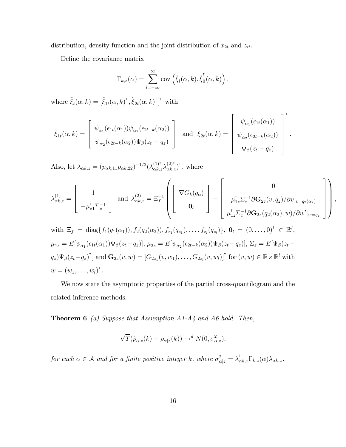distribution, density function and the joint distribution of  $x_{2t}$  and  $z_{it}$ .

Define the covariance matrix

$$
\Gamma_{k,z}(\alpha) = \sum_{l=-\infty}^{\infty} \text{cov}\left(\tilde{\xi}_l(\alpha,k), \tilde{\xi}_0(\alpha,k)\right),
$$

where  $\tilde{\xi}_t(\alpha, k) = [\tilde{\xi}_{1t}(\alpha, k)^\dagger, \tilde{\xi}_{2t}(\alpha, k)^\dagger]^\dagger$  with

$$
\tilde{\xi}_{1t}(\alpha,k) = \begin{bmatrix} \psi_{\alpha_1}(\epsilon_{1t}(\alpha_1))\psi_{\alpha_2}(\epsilon_{2t-k}(\alpha_2)) \\ \psi_{\alpha_2}(\epsilon_{2t-k}(\alpha_2))\Psi_{\beta}(z_t - q_z) \end{bmatrix} \text{ and } \tilde{\xi}_{2t}(\alpha,k) = \begin{bmatrix} \psi_{\alpha_1}(\epsilon_{1t}(\alpha_1)) \\ \psi_{\alpha_2}(\epsilon_{2t-k}(\alpha_2)) \\ \psi_{\beta}(z_t - q_z) \end{bmatrix}^{\dagger}.
$$

Also, let  $\lambda_{\alpha k,z} = (p_{\alpha k,11}p_{\alpha k,22})^{-1/2}(\lambda_{\alpha k,z}^{(1)^{\intercal}}\lambda_{\alpha k,z}^{(2)^{\intercal}})^{\intercal}$ , where

$$
\lambda_{\alpha k,z}^{(1)} = \begin{bmatrix} 1 \\ -\mu_{z1}^{\mathsf{T}} \Sigma_z^{-1} \end{bmatrix} \text{ and } \lambda_{\alpha k,z}^{(2)} = \Xi_f^{-1} \left( \begin{bmatrix} \nabla G_k(q_{\alpha}) \\ \mathbf{0}_l \end{bmatrix} - \begin{bmatrix} 0 \\ \mu_{1z}^{\mathsf{T}} \Sigma_z^{-1} \partial \mathbf{G}_{2z}(v, q_z) / \partial v|_{v=q_2(\alpha_2)} \\ \mu_{1z}^{\mathsf{T}} \Sigma_z^{-1} \partial \mathbf{G}_{2z}(q_2(\alpha_2), w) / \partial w'|_{w=q_z} \end{bmatrix} \right)
$$

 $\overline{1}$ 

;

with 
$$
\Xi_f = \text{diag}\{f_1(q_1(\alpha_1)), f_2(q_2(\alpha_2)), f_{z_1}(q_{z_1}), \dots, f_{z_l}(q_{z_l})\}, \mathbf{0}_l = (0, \dots, 0)^{\text{T}} \in \mathbb{R}^l
$$
,  
\n $\mu_{1z} = E[\psi_{\alpha_1}(\epsilon_{1t}(\alpha_1))\Psi_{\beta}(z_t - q_z)], \mu_{2z} = E[\psi_{\alpha_2}(\epsilon_{2t-k}(\alpha_2))\Psi_{\beta}(z_t - q_z)], \Sigma_z = E[\Psi_{\beta}(z_t - q_z)\Psi_{\beta}(z_t - q_z)^{\text{T}}] \text{ and } \mathbf{G}_{2z}(v, w) = [G_{2z_1}(v, w_1), \dots, G_{2z_l}(v, w_l)]^{\text{T}} \text{ for } (v, w) \in \mathbb{R} \times \mathbb{R}^l \text{ with}$   
\n $w = (w_1, \dots, w_l)^{\text{T}}.$ 

We now state the asymptotic properties of the partial cross-quantilogram and the related inference methods.

**Theorem 6** (a) Suppose that Assumption  $A1-A4$  and  $A6$  hold. Then,

$$
\sqrt{T}(\hat{\rho}_{\alpha|z}(k) - \rho_{\alpha|z}(k)) \to^d N(0, \sigma_{\alpha|z}^2),
$$

for each  $\alpha \in \mathcal{A}$  and for a finite positive integer k, where  $\sigma_{\alpha|z}^2 = \lambda_{\alpha k,z}^{\dagger} \Gamma_{k,z}(\alpha) \lambda_{\alpha k,z}$ .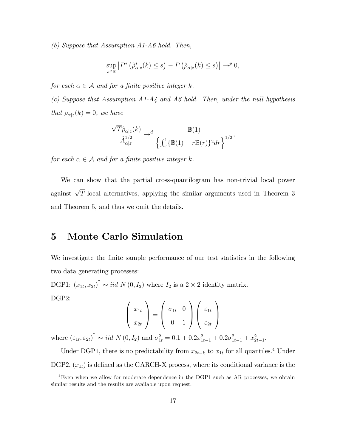(b) Suppose that Assumption A1-A6 hold. Then,

$$
\sup_{s\in\mathbb{R}}\left|P^*\left(\hat{\rho}_{\alpha|z}^*(k)\leq s\right)-P\left(\hat{\rho}_{\alpha|z}(k)\leq s\right)\right|\to^p 0,
$$

for each  $\alpha \in \mathcal{A}$  and for a finite positive integer k.

(c) Suppose that Assumption  $A1-A4$  and  $A6$  hold. Then, under the null hypothesis that  $\rho_{\alpha|z}(k) = 0$ , we have

$$
\frac{\sqrt{T}\hat{\rho}_{\alpha|z}(k)}{\hat{A}_{\alpha|z}^{1/2}} \rightarrow^d \frac{\mathbb{B}(1)}{\left\{ \int_{\omega}^1 \{ \mathbb{B}(1) - r \mathbb{B}(r) \}^2 dr \right\}^{1/2}},
$$

for each  $\alpha \in \mathcal{A}$  and for a finite positive integer k.

We can show that the partial cross-quantilogram has non-trivial local power against  $\sqrt{T}$ -local alternatives, applying the similar arguments used in Theorem 3 and Theorem 5, and thus we omit the details.

## 5 Monte Carlo Simulation

We investigate the finite sample performance of our test statistics in the following two data generating processes:

DGP1:  $(x_{1t}, x_{2t})^{\dagger} \sim iid \ N(0, I_2)$  where  $I_2$  is a  $2 \times 2$  identity matrix. DGP2:

$$
\begin{pmatrix} x_{1t} \\ x_{2t} \end{pmatrix} = \begin{pmatrix} \sigma_{1t} & 0 \\ 0 & 1 \end{pmatrix} \begin{pmatrix} \varepsilon_{1t} \\ \varepsilon_{2t} \end{pmatrix}
$$

where  $(\varepsilon_{1t}, \varepsilon_{2t})^{\dagger} \sim \text{iid } N(0, I_2)$  and  $\sigma_{1t}^2 = 0.1 + 0.2x_{1t-1}^2 + 0.2\sigma_{1t-1}^2 + x_{2t-1}^2$ .

Under DGP1, there is no predictability from  $x_{2t-k}$  to  $x_{1t}$  for all quantiles.<sup>4</sup> Under DGP2,  $(x_{1t})$  is defined as the GARCH-X process, where its conditional variance is the

<sup>4</sup>Even when we allow for moderate dependence in the DGP1 such as AR processes, we obtain similar results and the results are available upon request.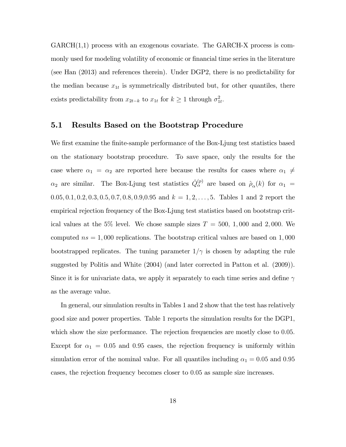$GARCH(1,1)$  process with an exogenous covariate. The  $GARCH-X$  process is commonly used for modeling volatility of economic or financial time series in the literature (see Han (2013) and references therein). Under DGP2, there is no predictability for the median because  $x_{1t}$  is symmetrically distributed but, for other quantiles, there exists predictability from  $x_{2t-k}$  to  $x_{1t}$  for  $k \ge 1$  through  $\sigma_{1t}^2$ .

#### 5.1 Results Based on the Bootstrap Procedure

We first examine the finite-sample performance of the Box-Ljung test statistics based on the stationary bootstrap procedure. To save space, only the results for the case where  $\alpha_1 = \alpha_2$  are reported here because the results for cases where  $\alpha_1 \neq$  $\alpha_2$  are similar. The Box-Ljung test statistics  $\hat{Q}^{(p)}_{\alpha}$  are based on  $\hat{\rho}_{\alpha}(k)$  for  $\alpha_1 =$  $0.05, 0.1, 0.2, 0.3, 0.5, 0.7, 0.8, 0.9, 0.95$  and  $k = 1, 2, ..., 5$ . Tables 1 and 2 report the empirical rejection frequency of the Box-Ljung test statistics based on bootstrap critical values at the 5% level. We chose sample sizes  $T = 500, 1,000$  and 2,000. We computed  $ns = 1,000$  replications. The bootstrap critical values are based on 1,000 bootstrapped replicates. The tuning parameter  $1/\gamma$  is chosen by adapting the rule suggested by Politis and White (2004) (and later corrected in Patton et al. (2009)). Since it is for univariate data, we apply it separately to each time series and define  $\gamma$ as the average value.

In general, our simulation results in Tables 1 and 2 show that the test has relatively good size and power properties. Table 1 reports the simulation results for the DGP1, which show the size performance. The rejection frequencies are mostly close to 0.05. Except for  $\alpha_1 = 0.05$  and 0.95 cases, the rejection frequency is uniformly within simulation error of the nominal value. For all quantiles including  $\alpha_1 = 0.05$  and 0.95 cases, the rejection frequency becomes closer to 0:05 as sample size increases.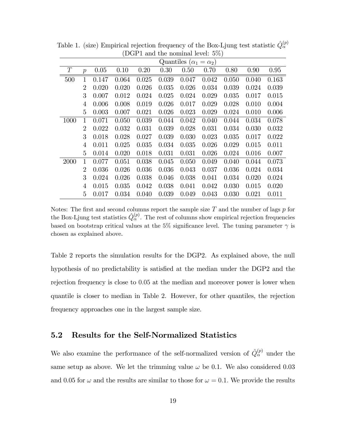|      |                | $\lambda$<br>Quantiles ( $\alpha_1 = \alpha_2$ ) |       |       |       |       |       |       |       |       |  |  |
|------|----------------|--------------------------------------------------|-------|-------|-------|-------|-------|-------|-------|-------|--|--|
| T    | $\mathcal{p}$  | 0.05                                             | 0.10  | 0.20  | 0.30  | 0.50  | 0.70  | 0.80  | 0.90  | 0.95  |  |  |
| 500  | $\mathbf{1}$   | 0.147                                            | 0.064 | 0.025 | 0.039 | 0.047 | 0.042 | 0.050 | 0.040 | 0.163 |  |  |
|      | 2              | 0.020                                            | 0.020 | 0.026 | 0.035 | 0.026 | 0.034 | 0.039 | 0.024 | 0.039 |  |  |
|      | 3              | 0.007                                            | 0.012 | 0.024 | 0.025 | 0.024 | 0.029 | 0.035 | 0.017 | 0.015 |  |  |
|      | 4              | 0.006                                            | 0.008 | 0.019 | 0.026 | 0.017 | 0.029 | 0.028 | 0.010 | 0.004 |  |  |
|      | 5              | 0.003                                            | 0.007 | 0.021 | 0.026 | 0.023 | 0.029 | 0.024 | 0.010 | 0.006 |  |  |
| 1000 | 1              | 0.071                                            | 0.050 | 0.039 | 0.044 | 0.042 | 0.040 | 0.044 | 0.034 | 0.078 |  |  |
|      | 2              | 0.022                                            | 0.032 | 0.031 | 0.039 | 0.028 | 0.031 | 0.034 | 0.030 | 0.032 |  |  |
|      | 3              | 0.018                                            | 0.028 | 0.027 | 0.039 | 0.030 | 0.023 | 0.035 | 0.017 | 0.022 |  |  |
|      | 4              | 0.011                                            | 0.025 | 0.035 | 0.034 | 0.035 | 0.026 | 0.029 | 0.015 | 0.011 |  |  |
|      | 5              | 0.014                                            | 0.020 | 0.018 | 0.031 | 0.031 | 0.026 | 0.024 | 0.016 | 0.007 |  |  |
| 2000 | $\mathbf{1}$   | 0.077                                            | 0.051 | 0.038 | 0.045 | 0.050 | 0.049 | 0.040 | 0.044 | 0.073 |  |  |
|      | $\overline{2}$ | 0.036                                            | 0.026 | 0.036 | 0.036 | 0.043 | 0.037 | 0.036 | 0.024 | 0.034 |  |  |
|      | 3              | 0.024                                            | 0.026 | 0.038 | 0.046 | 0.038 | 0.041 | 0.034 | 0.020 | 0.024 |  |  |
|      | 4              | 0.015                                            | 0.035 | 0.042 | 0.038 | 0.041 | 0.042 | 0.030 | 0.015 | 0.020 |  |  |
|      | 5              | 0.017                                            | 0.034 | 0.040 | 0.039 | 0.049 | 0.043 | 0.030 | 0.021 | 0.011 |  |  |

Table 1. (size) Empirical rejection frequency of the Box-Ljung test statistic  $\hat{Q}_{\alpha}^{(p)}$ (DGP1 and the nominal level: 5%)

Notes: The first and second columns report the sample size  $T$  and the number of lags  $p$  for the Box-Ljung test statistics  $\hat{Q}_{\alpha}^{(p)}$ . The rest of columns show empirical rejection frequencies based on bootstrap critical values at the 5% significance level. The tuning parameter  $\gamma$  is chosen as explained above.

Table 2 reports the simulation results for the DGP2. As explained above, the null hypothesis of no predictability is satisfied at the median under the DGP2 and the rejection frequency is close to 0.05 at the median and moreover power is lower when quantile is closer to median in Table 2. However, for other quantiles, the rejection frequency approaches one in the largest sample size.

#### 5.2 Results for the Self-Normalized Statistics

We also examine the performance of the self-normalized version of  $\hat{Q}_{\alpha}^{(p)}$  under the same setup as above. We let the trimming value  $\omega$  be 0.1. We also considered 0.03 and 0.05 for  $\omega$  and the results are similar to those for  $\omega = 0.1$ . We provide the results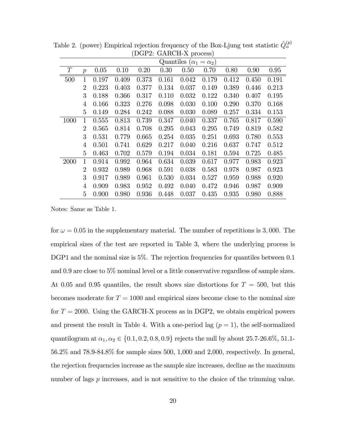|      | Quantiles ( $\alpha_1 = \alpha_2$ ) |       |       |       |       |       |       |       |       |       |  |  |
|------|-------------------------------------|-------|-------|-------|-------|-------|-------|-------|-------|-------|--|--|
| T    | $\overline{p}$                      | 0.05  | 0.10  | 0.20  | 0.30  | 0.50  | 0.70  | 0.80  | 0.90  | 0.95  |  |  |
| 500  | $\mathbf{1}$                        | 0.197 | 0.409 | 0.373 | 0.161 | 0.042 | 0.179 | 0.412 | 0.450 | 0.191 |  |  |
|      | $\overline{2}$                      | 0.223 | 0.403 | 0.377 | 0.134 | 0.037 | 0.149 | 0.389 | 0.446 | 0.213 |  |  |
|      | 3                                   | 0.188 | 0.366 | 0.317 | 0.110 | 0.032 | 0.122 | 0.340 | 0.407 | 0.195 |  |  |
|      | 4                                   | 0.166 | 0.323 | 0.276 | 0.098 | 0.030 | 0.100 | 0.290 | 0.370 | 0.168 |  |  |
|      | $\overline{5}$                      | 0.149 | 0.284 | 0.242 | 0.088 | 0.030 | 0.089 | 0.257 | 0.334 | 0.153 |  |  |
| 1000 | 1                                   | 0.555 | 0.813 | 0.739 | 0.347 | 0.040 | 0.337 | 0.765 | 0.817 | 0.590 |  |  |
|      | 2                                   | 0.565 | 0.814 | 0.708 | 0.295 | 0.043 | 0.295 | 0.749 | 0.819 | 0.582 |  |  |
|      | 3                                   | 0.531 | 0.779 | 0.665 | 0.254 | 0.035 | 0.251 | 0.693 | 0.780 | 0.553 |  |  |
|      | 4                                   | 0.501 | 0.741 | 0.629 | 0.217 | 0.040 | 0.216 | 0.637 | 0.747 | 0.512 |  |  |
|      | 5                                   | 0.463 | 0.702 | 0.579 | 0.194 | 0.034 | 0.181 | 0.594 | 0.725 | 0.485 |  |  |
| 2000 | 1                                   | 0.914 | 0.992 | 0.964 | 0.634 | 0.039 | 0.617 | 0.977 | 0.983 | 0.923 |  |  |
|      | $\overline{2}$                      | 0.932 | 0.989 | 0.968 | 0.591 | 0.038 | 0.583 | 0.978 | 0.987 | 0.923 |  |  |
|      | 3                                   | 0.917 | 0.989 | 0.961 | 0.530 | 0.034 | 0.527 | 0.959 | 0.988 | 0.920 |  |  |
|      | 4                                   | 0.909 | 0.983 | 0.952 | 0.492 | 0.040 | 0.472 | 0.946 | 0.987 | 0.909 |  |  |
|      | 5                                   | 0.900 | 0.980 | 0.936 | 0.448 | 0.037 | 0.435 | 0.935 | 0.980 | 0.888 |  |  |

Table 2. (power) Empirical rejection frequency of the Box-Ljung test statistic  $\hat{Q}_{\alpha}^{(p)}$ (DGP2: GARCH-X process)

Notes: Same as Table 1.

for  $\omega = 0.05$  in the supplementary material. The number of repetitions is 3,000. The empirical sizes of the test are reported in Table 3, where the underlying process is DGP1 and the nominal size is 5%. The rejection frequencies for quantiles between 0.1 and 0.9 are close to 5% nominal level or a little conservative regardless of sample sizes. At 0.05 and 0.95 quantiles, the result shows size distortions for  $T = 500$ , but this becomes moderate for  $T = 1000$  and empirical sizes become close to the nominal size for  $T = 2000$ . Using the GARCH-X process as in DGP2, we obtain empirical powers and present the result in Table 4. With a one-period lag  $(p = 1)$ , the self-normalized quantilogram at  $\alpha_1, \alpha_2 \in \{0.1, 0.2, 0.8, 0.9\}$  rejects the null by about 25.7-26.6%, 51.1-56.2% and 78.9-84.8% for sample sizes 500, 1,000 and 2,000, respectively. In general, the rejection frequencies increase as the sample size increases, decline as the maximum number of lags  $p$  increases, and is not sensitive to the choice of the trimming value.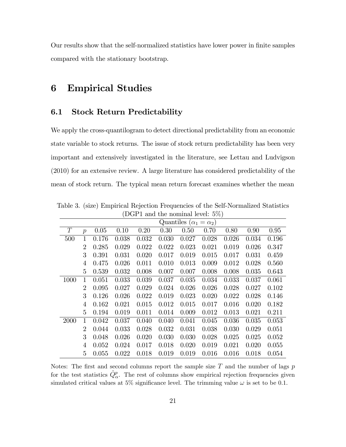Our results show that the self-normalized statistics have lower power in Önite samples compared with the stationary bootstrap.

## 6 Empirical Studies

#### 6.1 Stock Return Predictability

We apply the cross-quantilogram to detect directional predictability from an economic state variable to stock returns. The issue of stock return predictability has been very important and extensively investigated in the literature, see Lettau and Ludvigson (2010) for an extensive review. A large literature has considered predictability of the mean of stock return. The typical mean return forecast examines whether the mean

| $D01$ 1 and the normal rever. $0/0$ |                                     |       |       |       |       |       |       |       |       |       |  |  |
|-------------------------------------|-------------------------------------|-------|-------|-------|-------|-------|-------|-------|-------|-------|--|--|
|                                     | Quantiles ( $\alpha_1 = \alpha_2$ ) |       |       |       |       |       |       |       |       |       |  |  |
| T                                   | $\mathcal{p}$                       | 0.05  | 0.10  | 0.20  | 0.30  | 0.50  | 0.70  | 0.80  | 0.90  | 0.95  |  |  |
| 500                                 | $\mathbf{1}$                        | 0.176 | 0.038 | 0.032 | 0.030 | 0.027 | 0.028 | 0.026 | 0.034 | 0.196 |  |  |
|                                     | $\overline{2}$                      | 0.285 | 0.029 | 0.022 | 0.022 | 0.023 | 0.021 | 0.019 | 0.026 | 0.347 |  |  |
|                                     | 3                                   | 0.391 | 0.031 | 0.020 | 0.017 | 0.019 | 0.015 | 0.017 | 0.031 | 0.459 |  |  |
|                                     | 4                                   | 0.475 | 0.026 | 0.011 | 0.010 | 0.013 | 0.009 | 0.012 | 0.028 | 0.560 |  |  |
|                                     | 5                                   | 0.539 | 0.032 | 0.008 | 0.007 | 0.007 | 0.008 | 0.008 | 0.035 | 0.643 |  |  |
| 1000                                | 1                                   | 0.051 | 0.033 | 0.039 | 0.037 | 0.035 | 0.034 | 0.033 | 0.037 | 0.061 |  |  |
|                                     | $\overline{2}$                      | 0.095 | 0.027 | 0.029 | 0.024 | 0.026 | 0.026 | 0.028 | 0.027 | 0.102 |  |  |
|                                     | 3                                   | 0.126 | 0.026 | 0.022 | 0.019 | 0.023 | 0.020 | 0.022 | 0.028 | 0.146 |  |  |
|                                     | 4                                   | 0.162 | 0.021 | 0.015 | 0.012 | 0.015 | 0.017 | 0.016 | 0.020 | 0.182 |  |  |
|                                     | 5                                   | 0.194 | 0.019 | 0.011 | 0.014 | 0.009 | 0.012 | 0.013 | 0.021 | 0.211 |  |  |
| <b>2000</b>                         | 1                                   | 0.042 | 0.037 | 0.040 | 0.040 | 0.041 | 0.045 | 0.036 | 0.035 | 0.053 |  |  |
|                                     | $\overline{2}$                      | 0.044 | 0.033 | 0.028 | 0.032 | 0.031 | 0.038 | 0.030 | 0.029 | 0.051 |  |  |
|                                     | 3                                   | 0.048 | 0.026 | 0.020 | 0.030 | 0.030 | 0.028 | 0.025 | 0.025 | 0.052 |  |  |
|                                     | 4                                   | 0.052 | 0.024 | 0.017 | 0.018 | 0.020 | 0.019 | 0.021 | 0.020 | 0.055 |  |  |
|                                     | 5                                   | 0.055 | 0.022 | 0.018 | 0.019 | 0.019 | 0.016 | 0.016 | 0.018 | 0.054 |  |  |

Table 3. (size) Empirical Rejection Frequencies of the Self-Normalized Statistics (DGP1 and the nominal level: 5%)

Notes: The first and second columns report the sample size  $T$  and the number of lags  $p$ for the test statistics  $\hat{Q}^p_\alpha$ . The rest of columns show empirical rejection frequencies given simulated critical values at 5% significance level. The trimming value  $\omega$  is set to be 0.1.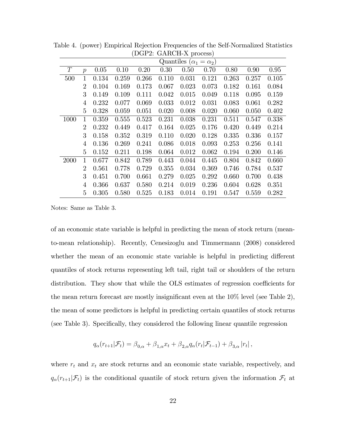|      | Quantiles ( $\alpha_1 = \alpha_2$ ) |       |       |       |       |       |       |       |       |       |  |  |
|------|-------------------------------------|-------|-------|-------|-------|-------|-------|-------|-------|-------|--|--|
| T    | $\mathcal{p}$                       | 0.05  | 0.10  | 0.20  | 0.30  | 0.50  | 0.70  | 0.80  | 0.90  | 0.95  |  |  |
| 500  | $\mathbf{1}$                        | 0.134 | 0.259 | 0.266 | 0.110 | 0.031 | 0.121 | 0.263 | 0.257 | 0.105 |  |  |
|      | $\overline{2}$                      | 0.104 | 0.169 | 0.173 | 0.067 | 0.023 | 0.073 | 0.182 | 0.161 | 0.084 |  |  |
|      | 3                                   | 0.149 | 0.109 | 0.111 | 0.042 | 0.015 | 0.049 | 0.118 | 0.095 | 0.159 |  |  |
|      | 4                                   | 0.232 | 0.077 | 0.069 | 0.033 | 0.012 | 0.031 | 0.083 | 0.061 | 0.282 |  |  |
|      | 5                                   | 0.328 | 0.059 | 0.051 | 0.020 | 0.008 | 0.020 | 0.060 | 0.050 | 0.402 |  |  |
| 1000 | 1                                   | 0.359 | 0.555 | 0.523 | 0.231 | 0.038 | 0.231 | 0.511 | 0.547 | 0.338 |  |  |
|      | $\overline{2}$                      | 0.232 | 0.449 | 0.417 | 0.164 | 0.025 | 0.176 | 0.420 | 0.449 | 0.214 |  |  |
|      | 3                                   | 0.158 | 0.352 | 0.319 | 0.110 | 0.020 | 0.128 | 0.335 | 0.336 | 0.157 |  |  |
|      | 4                                   | 0.136 | 0.269 | 0.241 | 0.086 | 0.018 | 0.093 | 0.253 | 0.256 | 0.141 |  |  |
|      | 5                                   | 0.152 | 0.211 | 0.198 | 0.064 | 0.012 | 0.062 | 0.194 | 0.200 | 0.146 |  |  |
| 2000 | 1                                   | 0.677 | 0.842 | 0.789 | 0.443 | 0.044 | 0.445 | 0.804 | 0.842 | 0.660 |  |  |
|      | $\overline{2}$                      | 0.561 | 0.778 | 0.729 | 0.355 | 0.034 | 0.369 | 0.746 | 0.784 | 0.537 |  |  |
|      | 3                                   | 0.451 | 0.700 | 0.661 | 0.279 | 0.025 | 0.292 | 0.660 | 0.700 | 0.438 |  |  |
|      | 4                                   | 0.366 | 0.637 | 0.580 | 0.214 | 0.019 | 0.236 | 0.604 | 0.628 | 0.351 |  |  |
|      | 5                                   | 0.305 | 0.580 | 0.525 | 0.183 | 0.014 | 0.191 | 0.547 | 0.559 | 0.282 |  |  |

Table 4. (power) Empirical Rejection Frequencies of the Self-Normalized Statistics (DGP2: GARCH-X process)

Notes: Same as Table 3.

of an economic state variable is helpful in predicting the mean of stock return (meanto-mean relationship). Recently, Cenesizoglu and Timmermann (2008) considered whether the mean of an economic state variable is helpful in predicting different quantiles of stock returns representing left tail, right tail or shoulders of the return distribution. They show that while the OLS estimates of regression coefficients for the mean return forecast are mostly insignificant even at the  $10\%$  level (see Table 2), the mean of some predictors is helpful in predicting certain quantiles of stock returns (see Table 3). Specifically, they considered the following linear quantile regression

$$
q_{\alpha}(r_{t+1}|\mathcal{F}_t) = \beta_{0,\alpha} + \beta_{1,\alpha}x_t + \beta_{2,\alpha}q_{\alpha}(r_t|\mathcal{F}_{t-1}) + \beta_{3,\alpha}|r_t|,
$$

where  $r_t$  and  $x_t$  are stock returns and an economic state variable, respectively, and  $q_{\alpha}(r_{t+1}|\mathcal{F}_t)$  is the conditional quantile of stock return given the information  $\mathcal{F}_t$  at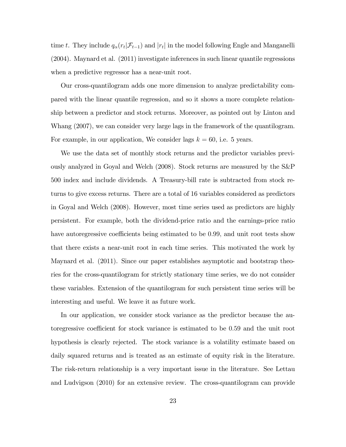time t. They include  $q_{\alpha}(r_t|\mathcal{F}_{t-1})$  and  $|r_t|$  in the model following Engle and Manganelli (2004). Maynard et al. (2011) investigate inferences in such linear quantile regressions when a predictive regressor has a near-unit root.

Our cross-quantilogram adds one more dimension to analyze predictability compared with the linear quantile regression, and so it shows a more complete relationship between a predictor and stock returns. Moreover, as pointed out by Linton and Whang (2007), we can consider very large lags in the framework of the quantilogram. For example, in our application, We consider lags  $k = 60$ , i.e. 5 years.

We use the data set of monthly stock returns and the predictor variables previously analyzed in Goyal and Welch (2008). Stock returns are measured by the S&P 500 index and include dividends. A Treasury-bill rate is subtracted from stock returns to give excess returns. There are a total of 16 variables considered as predictors in Goyal and Welch (2008). However, most time series used as predictors are highly persistent. For example, both the dividend-price ratio and the earnings-price ratio have autoregressive coefficients being estimated to be 0.99, and unit root tests show that there exists a near-unit root in each time series. This motivated the work by Maynard et al. (2011). Since our paper establishes asymptotic and bootstrap theories for the cross-quantilogram for strictly stationary time series, we do not consider these variables. Extension of the quantilogram for such persistent time series will be interesting and useful. We leave it as future work.

In our application, we consider stock variance as the predictor because the autoregressive coefficient for stock variance is estimated to be 0.59 and the unit root hypothesis is clearly rejected. The stock variance is a volatility estimate based on daily squared returns and is treated as an estimate of equity risk in the literature. The risk-return relationship is a very important issue in the literature. See Lettau and Ludvigson (2010) for an extensive review. The cross-quantilogram can provide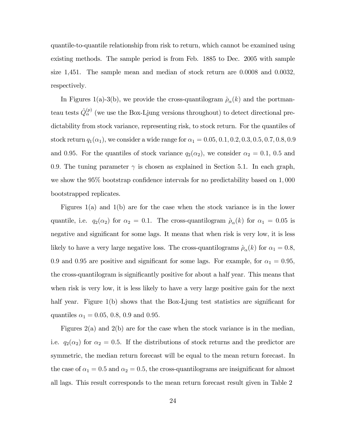quantile-to-quantile relationship from risk to return, which cannot be examined using existing methods. The sample period is from Feb. 1885 to Dec. 2005 with sample size 1,451. The sample mean and median of stock return are 0:0008 and 0:0032; respectively:

In Figures 1(a)-3(b), we provide the cross-quantilogram  $\hat{\rho}_{\alpha}(k)$  and the portmanteau tests  $\hat{Q}_{\alpha}^{(p)}$  (we use the Box-Ljung versions throughout) to detect directional predictability from stock variance, representing risk, to stock return. For the quantiles of stock return  $q_1(\alpha_1)$ , we consider a wide range for  $\alpha_1 = 0.05, 0.1, 0.2, 0.3, 0.5, 0.7, 0.8, 0.9$ and 0.95. For the quantiles of stock variance  $q_2(\alpha_2)$ , we consider  $\alpha_2 = 0.1, 0.5$  and 0.9. The tuning parameter  $\gamma$  is chosen as explained in Section 5.1. In each graph, we show the  $95\%$  bootstrap confidence intervals for no predictability based on 1,000 bootstrapped replicates.

Figures 1(a) and 1(b) are for the case when the stock variance is in the lower quantile, i.e.  $q_2(\alpha_2)$  for  $\alpha_2 = 0.1$ . The cross-quantilogram  $\rho_\alpha(k)$  for  $\alpha_1 = 0.05$  is negative and significant for some lags. It means that when risk is very low, it is less likely to have a very large negative loss. The cross-quantilograms  $\hat{\rho}_{\alpha}(k)$  for  $\alpha_1 = 0.8$ , 0.9 and 0.95 are positive and significant for some lags. For example, for  $\alpha_1 = 0.95$ , the cross-quantilogram is significantly positive for about a half year. This means that when risk is very low, it is less likely to have a very large positive gain for the next half year. Figure  $1(b)$  shows that the Box-Ljung test statistics are significant for quantiles  $\alpha_1 = 0.05, 0.8, 0.9$  and 0.95.

Figures 2(a) and 2(b) are for the case when the stock variance is in the median, i.e.  $q_2(\alpha_2)$  for  $\alpha_2 = 0.5$ . If the distributions of stock returns and the predictor are symmetric, the median return forecast will be equal to the mean return forecast. In the case of  $\alpha_1 = 0.5$  and  $\alpha_2 = 0.5$ , the cross-quantilograms are insignificant for almost all lags. This result corresponds to the mean return forecast result given in Table 2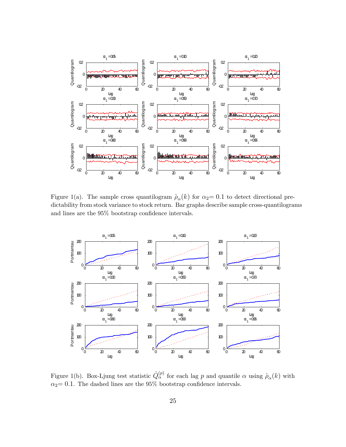

Figure 1(a). The sample cross quantilogram  $\hat{\rho}_{\alpha}(k)$  for  $\alpha_2= 0.1$  to detect directional predictability from stock variance to stock return. Bar graphs describe sample cross-quantilograms and lines are the  $95\%$  bootstrap confidence intervals.



Figure 1(b). Box-Ljung test statistic  $\hat{Q}^{(p)}_{\alpha}$  for each lag p and quantile  $\alpha$  using  $\hat{\rho}_{\alpha}(k)$  with  $\alpha_2= 0.1$ . The dashed lines are the 95% bootstrap confidence intervals.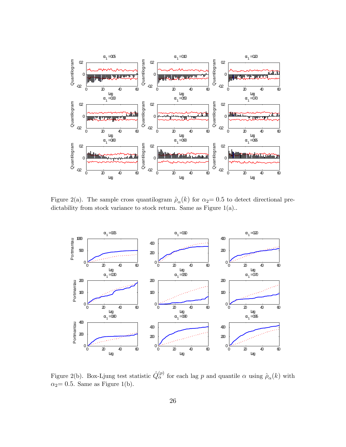

Figure 2(a). The sample cross quantilogram  $\hat{p}_{\alpha}(k)$  for  $\alpha_2= 0.5$  to detect directional predictability from stock variance to stock return. Same as Figure 1(a)..



Figure 2(b). Box-Ljung test statistic  $\hat{Q}^{(p)}_{\alpha}$  for each lag p and quantile  $\alpha$  using  $\hat{\rho}_{\alpha}(k)$  with  $\alpha_2$  = 0.5. Same as Figure 1(b).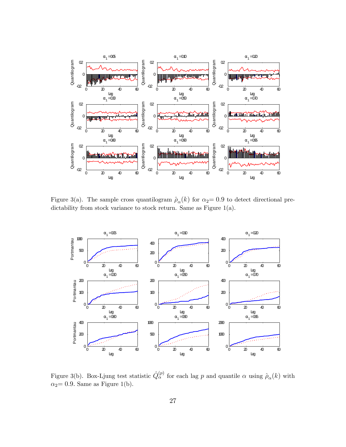

Figure 3(a). The sample cross quantilogram  $\hat{\rho}_{\alpha}(k)$  for  $\alpha_2= 0.9$  to detect directional predictability from stock variance to stock return. Same as Figure 1(a).



Figure 3(b). Box-Ljung test statistic  $\hat{Q}^{(p)}_{\alpha}$  for each lag p and quantile  $\alpha$  using  $\hat{\rho}_{\alpha}(k)$  with  $\alpha_2$  = 0.9. Same as Figure 1(b).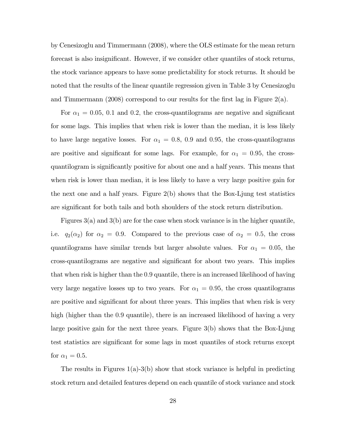by Cenesizoglu and Timmermann (2008), where the OLS estimate for the mean return forecast is also insignificant. However, if we consider other quantiles of stock returns, the stock variance appears to have some predictability for stock returns. It should be noted that the results of the linear quantile regression given in Table 3 by Cenesizoglu and Timmermann (2008) correspond to our results for the first lag in Figure 2(a).

For  $\alpha_1 = 0.05, 0.1$  and 0.2, the cross-quantilograms are negative and significant for some lags. This implies that when risk is lower than the median, it is less likely to have large negative losses. For  $\alpha_1 = 0.8, 0.9$  and 0.95, the cross-quantilograms are positive and significant for some lags. For example, for  $\alpha_1 = 0.95$ , the crossquantilogram is significantly positive for about one and a half years. This means that when risk is lower than median, it is less likely to have a very large positive gain for the next one and a half years. Figure 2(b) shows that the Box-Ljung test statistics are significant for both tails and both shoulders of the stock return distribution.

Figures  $3(a)$  and  $3(b)$  are for the case when stock variance is in the higher quantile, i.e.  $q_2(\alpha_2)$  for  $\alpha_2 = 0.9$ . Compared to the previous case of  $\alpha_2 = 0.5$ , the cross quantilograms have similar trends but larger absolute values. For  $\alpha_1 = 0.05$ , the cross-quantilograms are negative and significant for about two years. This implies that when risk is higher than the 0:9 quantile, there is an increased likelihood of having very large negative losses up to two years. For  $\alpha_1 = 0.95$ , the cross quantilograms are positive and significant for about three years. This implies that when risk is very high (higher than the 0.9 quantile), there is an increased likelihood of having a very large positive gain for the next three years. Figure 3(b) shows that the Box-Ljung test statistics are significant for some lags in most quantiles of stock returns except for  $\alpha_1 = 0.5$ .

The results in Figures  $1(a)-3(b)$  show that stock variance is helpful in predicting stock return and detailed features depend on each quantile of stock variance and stock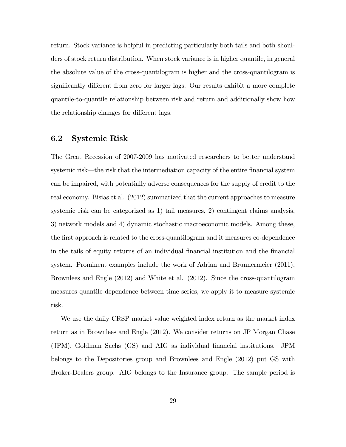return. Stock variance is helpful in predicting particularly both tails and both shoulders of stock return distribution. When stock variance is in higher quantile, in general the absolute value of the cross-quantilogram is higher and the cross-quantilogram is significantly different from zero for larger lags. Our results exhibit a more complete quantile-to-quantile relationship between risk and return and additionally show how the relationship changes for different lags.

#### 6.2 Systemic Risk

The Great Recession of 2007-2009 has motivated researchers to better understand systemic risk—the risk that the intermediation capacity of the entire financial system can be impaired, with potentially adverse consequences for the supply of credit to the real economy. Bisias et al. (2012) summarized that the current approaches to measure systemic risk can be categorized as 1) tail measures, 2) contingent claims analysis, 3) network models and 4) dynamic stochastic macroeconomic models. Among these, the first approach is related to the cross-quantilogram and it measures co-dependence in the tails of equity returns of an individual Önancial institution and the Önancial system. Prominent examples include the work of Adrian and Brunnermeier (2011), Brownlees and Engle (2012) and White et al. (2012). Since the cross-quantilogram measures quantile dependence between time series, we apply it to measure systemic risk.

We use the daily CRSP market value weighted index return as the market index return as in Brownlees and Engle (2012). We consider returns on JP Morgan Chase (JPM), Goldman Sachs (GS) and AIG as individual Önancial institutions. JPM belongs to the Depositories group and Brownlees and Engle (2012) put GS with Broker-Dealers group. AIG belongs to the Insurance group. The sample period is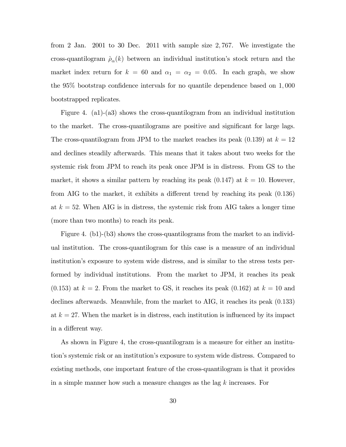from 2 Jan. 2001 to 30 Dec. 2011 with sample size 2; 767. We investigate the cross-quantilogram  $\hat{\rho}_{\alpha}(k)$  between an individual institution's stock return and the market index return for  $k = 60$  and  $\alpha_1 = \alpha_2 = 0.05$ . In each graph, we show the  $95\%$  bootstrap confidence intervals for no quantile dependence based on 1,000 bootstrapped replicates.

Figure 4. (a1)-(a3) shows the cross-quantilogram from an individual institution to the market. The cross-quantilograms are positive and significant for large lags. The cross-quantilogram from JPM to the market reaches its peak  $(0.139)$  at  $k = 12$ and declines steadily afterwards. This means that it takes about two weeks for the systemic risk from JPM to reach its peak once JPM is in distress. From GS to the market, it shows a similar pattern by reaching its peak  $(0.147)$  at  $k = 10$ . However, from AIG to the market, it exhibits a different trend by reaching its peak  $(0.136)$ at  $k = 52$ . When AIG is in distress, the systemic risk from AIG takes a longer time (more than two months) to reach its peak.

Figure 4. (b1)-(b3) shows the cross-quantilograms from the market to an individual institution. The cross-quantilogram for this case is a measure of an individual institutionís exposure to system wide distress, and is similar to the stress tests performed by individual institutions. From the market to JPM, it reaches its peak  $(0.153)$  at  $k = 2$ . From the market to GS, it reaches its peak  $(0.162)$  at  $k = 10$  and declines afterwards. Meanwhile, from the market to AIG, it reaches its peak (0:133) at  $k = 27$ . When the market is in distress, each institution is influenced by its impact in a different way.

As shown in Figure 4, the cross-quantilogram is a measure for either an institutionís systemic risk or an institutionís exposure to system wide distress. Compared to existing methods, one important feature of the cross-quantilogram is that it provides in a simple manner how such a measure changes as the lag k increases. For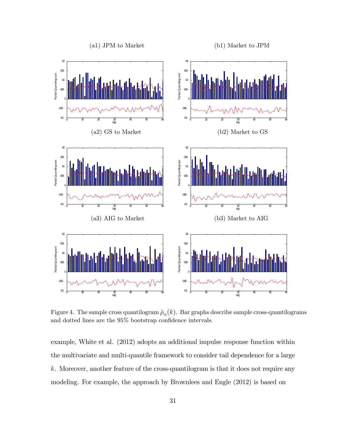

Figure 4. The sample cross quantilogram  $\hat{\rho}_{\alpha}(k)$ . Bar graphs describe sample cross-quantilograms and dotted lines are the  $95\%$  bootstrap confidence intervals.

example, White et al. (2012) adopts an additional impulse response function within the multivariate and multi-quantile framework to consider tail dependence for a large k. Moreover, another feature of the cross-quantilogram is that it does not require any modeling. For example, the approach by Brownlees and Engle (2012) is based on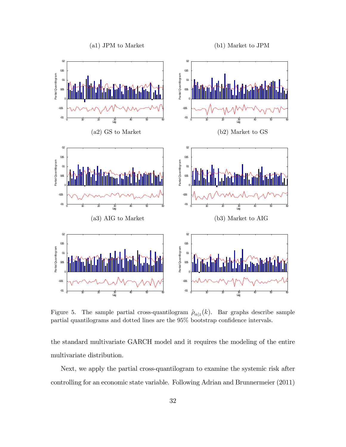

Figure 5. The sample partial cross-quantilogram  $\hat{\rho}_{\alpha|z}(k)$ . Bar graphs describe sample partial quantilograms and dotted lines are the  $95\%$  bootstrap confidence intervals.

the standard multivariate GARCH model and it requires the modeling of the entire multivariate distribution.

Next, we apply the partial cross-quantilogram to examine the systemic risk after controlling for an economic state variable. Following Adrian and Brunnermeier (2011)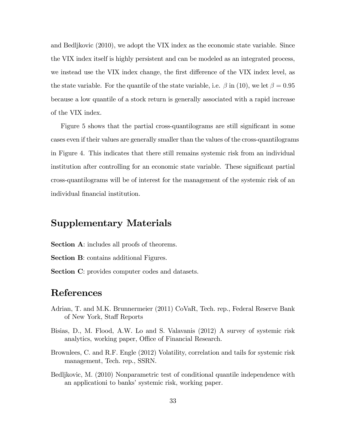and Bedljkovic (2010), we adopt the VIX index as the economic state variable. Since the VIX index itself is highly persistent and can be modeled as an integrated process, we instead use the VIX index change, the first difference of the VIX index level, as the state variable. For the quantile of the state variable, i.e.  $\beta$  in (10), we let  $\beta = 0.95$ because a low quantile of a stock return is generally associated with a rapid increase of the VIX index.

Figure 5 shows that the partial cross-quantilograms are still significant in some cases even if their values are generally smaller than the values of the cross-quantilograms in Figure 4. This indicates that there still remains systemic risk from an individual institution after controlling for an economic state variable. These significant partial cross-quantilograms will be of interest for the management of the systemic risk of an individual financial institution.

### Supplementary Materials

Section A: includes all proofs of theorems.

- Section B: contains additional Figures.
- Section C: provides computer codes and datasets.

### References

- Adrian, T. and M.K. Brunnermeier (2011) CoVaR, Tech. rep., Federal Reserve Bank of New York, Staff Reports
- Bisias, D., M. Flood, A.W. Lo and S. Valavanis (2012) A survey of systemic risk analytics, working paper, Office of Financial Research.
- Brownlees, C. and R.F. Engle (2012) Volatility, correlation and tails for systemic risk management, Tech. rep., SSRN.
- Bedljkovic, M. (2010) Nonparametric test of conditional quantile independence with an applicationi to banks' systemic risk, working paper.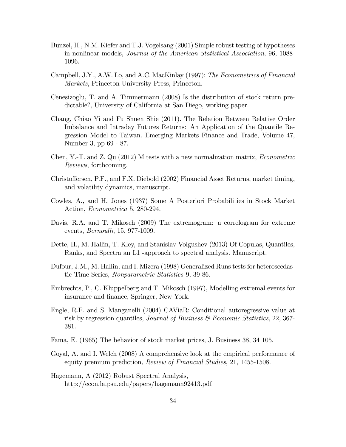- Bunzel, H., N.M. Kiefer and T.J. Vogelsang (2001) Simple robust testing of hypotheses in nonlinear models, Journal of the American Statistical Association, 96, 1088- 1096.
- Campbell, J.Y., A.W. Lo, and A.C. MacKinlay (1997): The Econometrics of Financial Markets, Princeton University Press, Princeton.
- Cenesizoglu, T. and A. Timmermann (2008) Is the distribution of stock return predictable?, University of California at San Diego, working paper.
- Chang, Chiao Yi and Fu Shuen Shie (2011). The Relation Between Relative Order Imbalance and Intraday Futures Returns: An Application of the Quantile Regression Model to Taiwan. Emerging Markets Finance and Trade, Volume 47, Number 3, pp 69 - 87.
- Chen, Y.-T. and Z. Qu (2012) M tests with a new normalization matrix, Econometric Reviews, forthcoming.
- Christo§ersen, P.F., and F.X. Diebold (2002) Financial Asset Returns, market timing, and volatility dynamics, manuscript.
- Cowles, A., and H. Jones (1937) Some A Posteriori Probabilities in Stock Market Action, Econometrica 5, 280-294.
- Davis, R.A. and T. Mikosch (2009) The extremogram: a correlogram for extreme events, Bernoulli, 15, 977-1009.
- Dette, H., M. Hallin, T. Kley, and Stanislav Volgushev (2013) Of Copulas, Quantiles, Ranks, and Spectra an L1 -approach to spectral analysis. Manuscript.
- Dufour, J.M., M. Hallin, and I. Mizera (1998) Generalized Runs tests for heteroscedastic Time Series, Nonparametric Statistics 9, 39-86.
- Embrechts, P., C. Kluppelberg and T. Mikosch (1997), Modelling extremal events for insurance and finance, Springer, New York.
- Engle, R.F. and S. Manganelli (2004) CAViaR: Conditional autoregressive value at risk by regression quantiles, *Journal of Business*  $\mathscr$ *Economic Statistics*, 22, 367-381.
- Fama, E. (1965) The behavior of stock market prices, J. Business 38, 34 105.
- Goyal, A. and I. Welch (2008) A comprehensive look at the empirical performance of equity premium prediction, Review of Financial Studies, 21, 1455-1508.
- Hagemann, A (2012) Robust Spectral Analysis, http://econ.la.psu.edu/papers/hagemann92413.pdf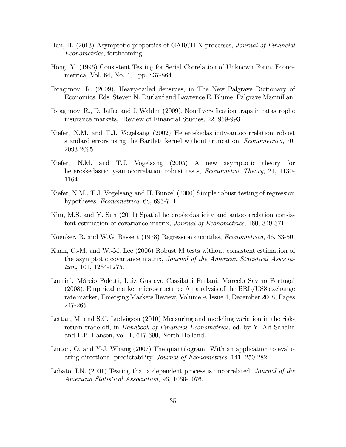- Han, H. (2013) Asymptotic properties of GARCH-X processes, Journal of Financial Econometrics, forthcoming.
- Hong, Y. (1996) Consistent Testing for Serial Correlation of Unknown Form. Econometrica, Vol. 64, No. 4, , pp. 837-864
- Ibragimov, R. (2009), Heavy-tailed densities, in The New Palgrave Dictionary of Economics. Eds. Steven N. Durlauf and Lawrence E. Blume. Palgrave Macmillan.
- Ibragimov,  $R_{\cdot}, D_{\cdot}$  Jaffee and J. Walden  $(2009)$ , Nondiversification traps in catastrophe insurance markets, Review of Financial Studies, 22, 959-993.
- Kiefer, N.M. and T.J. Vogelsang (2002) Heteroskedasticity-autocorrelation robust standard errors using the Bartlett kernel without truncation, Econometrica, 70, 2093-2095.
- Kiefer, N.M. and T.J. Vogelsang (2005) A new asymptotic theory for heteroskedasticity-autocorrelation robust tests, *Econometric Theory*, 21, 1130-1164.
- Kiefer, N.M., T.J. Vogelsang and H. Bunzel (2000) Simple robust testing of regression hypotheses, Econometrica, 68, 695-714.
- Kim, M.S. and Y. Sun (2011) Spatial heteroskedasticity and autocorrelation consistent estimation of covariance matrix, Journal of Econometrics, 160, 349-371.
- Koenker, R. and W.G. Bassett (1978) Regression quantiles, Econometrica, 46, 33-50.
- Kuan, C.-M. and W.-M. Lee (2006) Robust M tests without consistent estimation of the asymptotic covariance matrix, Journal of the American Statistical Association, 101, 1264-1275.
- Laurini, Márcio Poletti, Luiz Gustavo Cassilatti Furlani, Marcelo Savino Portugal (2008), Empirical market microstructure: An analysis of the BRL/US\$ exchange rate market, Emerging Markets Review, Volume 9, Issue 4, December 2008, Pages 247-265
- Lettau, M. and S.C. Ludvigson (2010) Measuring and modeling variation in the riskreturn trade-off, in *Handbook of Financial Econometrics*, ed. by Y. Ait-Sahalia and L.P. Hansen, vol. 1, 617-690, North-Holland.
- Linton, O. and Y-J. Whang (2007) The quantilogram: With an application to evaluating directional predictability, Journal of Econometrics, 141, 250-282.
- Lobato, I.N. (2001) Testing that a dependent process is uncorrelated, *Journal of the* American Statistical Association, 96, 1066-1076.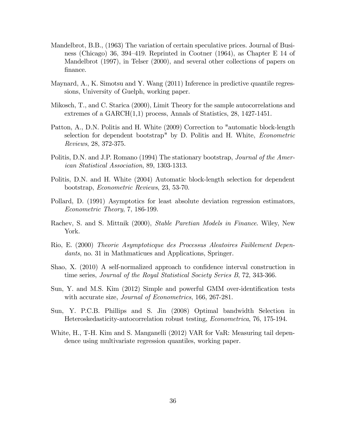- Mandelbrot, B.B., (1963) The variation of certain speculative prices. Journal of Business (Chicago) 36, 394–419. Reprinted in Cootner (1964), as Chapter E 14 of Mandelbrot (1997), in Telser (2000), and several other collections of papers on finance.
- Maynard, A., K. Simotsu and Y. Wang (2011) Inference in predictive quantile regressions, University of Guelph, working paper.
- Mikosch, T., and C. Starica (2000), Limit Theory for the sample autocorrelations and extremes of a GARCH(1,1) process, Annals of Statistics, 28, 1427-1451.
- Patton, A., D.N. Politis and H. White (2009) Correction to "automatic block-length selection for dependent bootstrap" by D. Politis and H. White, Econometric Reviews, 28, 372-375.
- Politis, D.N. and J.P. Romano (1994) The stationary bootstrap, *Journal of the Amer*ican Statistical Association, 89, 1303-1313.
- Politis, D.N. and H. White (2004) Automatic block-length selection for dependent bootstrap, Econometric Reviews, 23, 53-70.
- Pollard, D. (1991) Asymptotics for least absolute deviation regression estimators, Econometric Theory, 7, 186-199.
- Rachev, S. and S. Mittnik (2000), Stable Paretian Models in Finance. Wiley, New York.
- Rio, E. (2000) Theorie Asymptoticque des Processus Aleatoires Faiblement Dependants, no. 31 in Mathmaticues and Applications, Springer.
- Shao, X.  $(2010)$  A self-normalized approach to confidence interval construction in time series, Journal of the Royal Statistical Society Series B, 72, 343-366.
- Sun, Y. and M.S. Kim (2012) Simple and powerful GMM over-identification tests with accurate size, *Journal of Econometrics*, 166, 267-281.
- Sun, Y. P.C.B. Phillips and S. Jin (2008) Optimal bandwidth Selection in Heteroskedasticity-autocorrelation robust testing, Econometrica, 76, 175-194.
- White, H., T-H. Kim and S. Manganelli (2012) VAR for VaR: Measuring tail dependence using multivariate regression quantiles, working paper.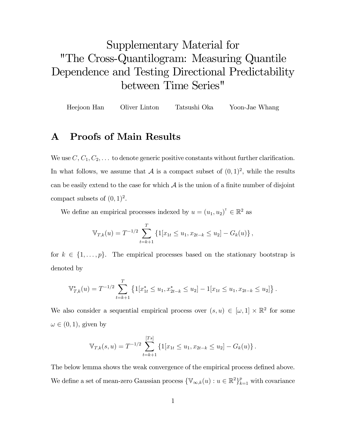## Supplementary Material for "The Cross-Quantilogram: Measuring Quantile Dependence and Testing Directional Predictability between Time Series"

Heejoon Han Oliver Linton Tatsushi Oka Yoon-Jae Whang

## A Proofs of Main Results

We use  $C, C_1, C_2, \ldots$  to denote generic positive constants without further clarification. In what follows, we assume that  $A$  is a compact subset of  $(0,1)^2$ , while the results can be easily extend to the case for which  $A$  is the union of a finite number of disjoint compact subsets of  $(0, 1)^2$ .

We define an empirical processes indexed by  $u = (u_1, u_2)^\dagger \in \mathbb{R}^2$  as

$$
\mathbb{V}_{T,k}(u) = T^{-1/2} \sum_{t=k+1}^{T} \left\{ \mathbb{1}[x_{1t} \le u_1, x_{2t-k} \le u_2] - G_k(u) \right\},\,
$$

for  $k \in \{1, \ldots, p\}$ . The empirical processes based on the stationary bootstrap is denoted by

$$
\mathbb{V}_{T,k}^*(u) = T^{-1/2} \sum_{t=k+1}^T \left\{ 1[x_{1t}^* \le u_1, x_{2t-k}^* \le u_2] - 1[x_{1t} \le u_1, x_{2t-k} \le u_2] \right\}.
$$

We also consider a sequential empirical process over  $(s, u) \in [\omega, 1] \times \mathbb{R}^2$  for some  $\omega \in (0, 1)$ , given by

$$
\mathbb{V}_{T,k}(s,u) = T^{-1/2} \sum_{t=k+1}^{[Ts]} \left\{ 1[x_{1t} \le u_1, x_{2t-k} \le u_2] - G_k(u) \right\}.
$$

The below lemma shows the weak convergence of the empirical process defined above. We define a set of mean-zero Gaussian process  $\{\mathbb{V}_{\infty,k}(u): u \in \mathbb{R}^2\}_{k=1}^p$  with covariance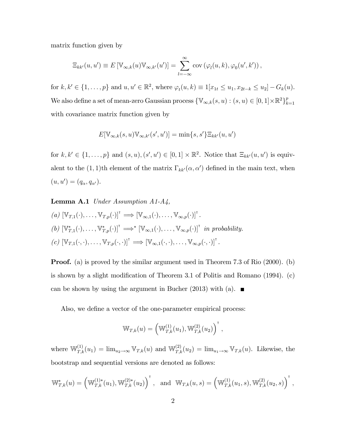matrix function given by

$$
\Xi_{kk'}(u, u') \equiv E[\mathbb{V}_{\infty,k}(u)\mathbb{V}_{\infty,k'}(u')] = \sum_{l=-\infty}^{\infty} \text{cov}(\varphi_l(u,k), \varphi_0(u',k')),
$$

for  $k, k' \in \{1, ..., p\}$  and  $u, u' \in \mathbb{R}^2$ , where  $\varphi_t(u, k) \equiv 1[x_{1t} \le u_1, x_{2t-k} \le u_2] - G_k(u)$ . We also define a set of mean-zero Gaussian process  $\{\mathbb{V}_{\infty,k}(s, u) : (s, u) \in [0, 1] \times \mathbb{R}^2\}_{k=0}^p$  $_{k=1}$ with covariance matrix function given by

$$
E[\mathbb{V}_{\infty,k}(s,u)\mathbb{V}_{\infty,k'}(s',u')] = \min\{s,s'\}\Xi_{kk'}(u,u')
$$

for  $k, k' \in \{1, ..., p\}$  and  $(s, u), (s', u') \in [0, 1] \times \mathbb{R}^2$ . Notice that  $\Xi_{kk'}(u, u')$  is equivalent to the  $(1, 1)$ th element of the matrix  $\Gamma_{kk'}(\alpha, \alpha')$  defined in the main text, when  $(u, u') = (q_{\alpha}, q_{\alpha}).$ 

**Lemma A.1** Under Assumption  $A1-A4$ ,

$$
(a) \ [\mathbb{V}_{T,1}(\cdot), \ldots, \mathbb{V}_{T,p}(\cdot)]^{\mathsf{T}} \Longrightarrow [\mathbb{V}_{\infty,1}(\cdot), \ldots, \mathbb{V}_{\infty,p}(\cdot)]^{\mathsf{T}}.
$$
  
\n
$$
(b) \ [\mathbb{V}_{T,1}^*(\cdot), \ldots, \mathbb{V}_{T,p}^*(\cdot)]^{\mathsf{T}} \Longrightarrow^* [\mathbb{V}_{\infty,1}(\cdot), \ldots, \mathbb{V}_{\infty,p}(\cdot)]^{\mathsf{T}} \ \ \text{in probability.}
$$
  
\n
$$
(c) \ [\mathbb{V}_{T,1}(\cdot,\cdot), \ldots, \mathbb{V}_{T,p}(\cdot,\cdot)]^{\mathsf{T}} \Longrightarrow [\mathbb{V}_{\infty,1}(\cdot,\cdot), \ldots, \mathbb{V}_{\infty,p}(\cdot,\cdot)]^{\mathsf{T}}.
$$

Proof. (a) is proved by the similar argument used in Theorem 7.3 of Rio (2000). (b) is shown by a slight modification of Theorem 3.1 of Politis and Romano  $(1994)$ . (c) can be shown by using the argument in Bucher (2013) with (a).  $\blacksquare$ 

Also, we define a vector of the one-parameter empirical process:

$$
\mathbb{W}_{T,k}(u) = \left(\mathbb{W}_{T,k}^{(1)}(u_1), \mathbb{W}_{T,k}^{(2)}(u_2)\right)^{\mathsf{T}},
$$

where  $\mathbb{W}_{T,k}^{(1)}(u_1) = \lim_{u_2 \to \infty} \mathbb{V}_{T,k}(u)$  and  $\mathbb{W}_{T,k}^{(2)}(u_2) = \lim_{u_1 \to \infty} \mathbb{V}_{T,k}(u)$ . Likewise, the bootstrap and sequential versions are denoted as follows:

$$
\mathbb{W}_{T,k}^*(u) = \left(\mathbb{W}_{T,k}^{(1)*}(u_1), \mathbb{W}_{T,k}^{(2)*}(u_2)\right)^{\mathsf{T}}, \text{ and } \mathbb{W}_{T,k}(u,s) = \left(\mathbb{W}_{T,k}^{(1)}(u_1,s), \mathbb{W}_{T,k}^{(2)}(u_2,s)\right)^{\mathsf{T}},
$$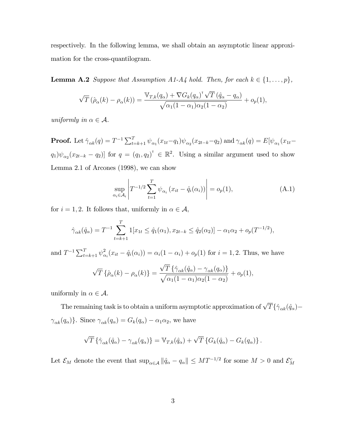respectively. In the following lemma, we shall obtain an asymptotic linear approximation for the cross-quantilogram.

**Lemma A.2** Suppose that Assumption A1-A4 hold. Then, for each  $k \in \{1, \ldots, p\}$ ,

$$
\sqrt{T}(\hat{\rho}_{\alpha}(k) - \rho_{\alpha}(k)) = \frac{\nabla_{T,k}(q_{\alpha}) + \nabla G_k(q_{\alpha})^\mathsf{T}\sqrt{T}(\hat{q}_{\alpha} - q_{\alpha})}{\sqrt{\alpha_1(1 - \alpha_1)\alpha_2(1 - \alpha_2)}} + o_p(1),
$$

uniformly in  $\alpha \in \mathcal{A}$ .

**Proof.** Let  $\hat{\gamma}_{\alpha k}(q) = T^{-1} \sum_{t=k+1}^{T} \psi_{\alpha_1}(x_{1t}-q_1) \psi_{\alpha_2}(x_{2t-k}-q_2)$  and  $\gamma_{\alpha k}(q) = E[\psi_{\alpha_1}(x_{1t}-q_1)]$  $(q_1)\psi_{\alpha_2}(x_{2t-k}-q_2)]$  for  $q=(q_1,q_2)^\mathsf{T} \in \mathbb{R}^2$ . Using a similar argument used to show Lemma 2.1 of Arcones (1998), we can show

$$
\sup_{\alpha_i \in \mathcal{A}_i} \left| T^{-1/2} \sum_{t=1}^T \psi_{\alpha_i} \left( x_{it} - \hat{q}_i(\alpha_i) \right) \right| = o_p(1), \tag{A.1}
$$

for  $i = 1, 2$ . It follows that, uniformly in  $\alpha \in \mathcal{A}$ ,

$$
\hat{\gamma}_{\alpha k}(\hat{q}_{\alpha}) = T^{-1} \sum_{t=k+1}^{T} 1[x_{1t} \le \hat{q}_1(\alpha_1), x_{2t-k} \le \hat{q}_2(\alpha_2)] - \alpha_1 \alpha_2 + o_p(T^{-1/2}),
$$

and  $T^{-1} \sum_{t=k+1}^{T} \psi_{\alpha}^{2}$  $i\alpha_i(x_{it} - \hat{q}_i(\alpha_i)) = \alpha_i(1 - \alpha_i) + o_p(1)$  for  $i = 1, 2$ . Thus, we have

$$
\sqrt{T}\left\{\hat{\rho}_{\alpha}(k) - \rho_{\alpha}(k)\right\} = \frac{\sqrt{T}\left\{\hat{\gamma}_{\alpha k}(\hat{q}_{\alpha}) - \gamma_{\alpha k}(q_{\alpha})\right\}}{\sqrt{\alpha_1(1-\alpha_1)\alpha_2(1-\alpha_2)}} + o_p(1),
$$

uniformly in  $\alpha \in \mathcal{A}$ .

The remaining task is to obtain a uniform asymptotic approximation of  $\sqrt{T}\{\hat{\gamma}_{\alpha k}(\hat{q}_\alpha) \gamma_{\alpha k}(q_{\alpha})\}$ . Since  $\gamma_{\alpha k}(q_{\alpha}) = G_k(q_{\alpha}) - \alpha_1 \alpha_2$ , we have

$$
\sqrt{T}\left\{\hat{\gamma}_{\alpha k}(\hat{q}_{\alpha})-\gamma_{\alpha k}(q_{\alpha})\right\}=\mathbb{V}_{T,k}(\hat{q}_{\alpha})+\sqrt{T}\left\{G_{k}(\hat{q}_{\alpha})-G_{k}(q_{\alpha})\right\}.
$$

Let  $\mathcal{E}_M$  denote the event that  $\sup_{\alpha \in \mathcal{A}} ||\hat{q}_\alpha - q_\alpha|| \leq MT^{-1/2}$  for some  $M > 0$  and  $\mathcal{E}_M^c$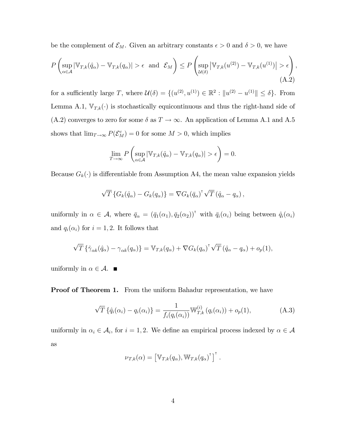be the complement of  $\mathcal{E}_M$ . Given an arbitrary constants  $\epsilon > 0$  and  $\delta > 0$ , we have

$$
P\left(\sup_{\alpha\in\mathcal{A}}|\mathbb{V}_{T,k}(\hat{q}_{\alpha})-\mathbb{V}_{T,k}(q_{\alpha})|>\epsilon\text{ and }\mathcal{E}_M\right)\leq P\left(\sup_{\mathcal{U}(\delta)}|\mathbb{V}_{T,k}(u^{(2)})-\mathbb{V}_{T,k}(u^{(1)})|>\epsilon\right),\tag{A.2}
$$

for a sufficiently large T, where  $\mathcal{U}(\delta) = \{(u^{(2)}, u^{(1)}) \in \mathbb{R}^2 : ||u^{(2)} - u^{(1)}|| \le \delta\}$ . From Lemma A.1,  $\mathbb{V}_{T,k}(\cdot)$  is stochastically equicontinuous and thus the right-hand side of  $(A.2)$  converges to zero for some  $\delta$  as  $T \to \infty$ . An application of Lemma A.1 and A.5 shows that  $\lim_{T \to \infty} P(\mathcal{E}_M^c) = 0$  for some  $M > 0$ , which implies

$$
\lim_{T \to \infty} P\left(\sup_{\alpha \in \mathcal{A}} |\mathbb{V}_{T,k}(\hat{q}_{\alpha}) - \mathbb{V}_{T,k}(q_{\alpha})| > \epsilon\right) = 0.
$$

Because  $G_k(\cdot)$  is differentiable from Assumption A4, the mean value expansion yields

$$
\sqrt{T}\left\{G_k(\hat{q}_\alpha) - G_k(q_\alpha)\right\} = \nabla G_k(\bar{q}_\alpha)^\mathsf{T} \sqrt{T} (\hat{q}_\alpha - q_\alpha),
$$

uniformly in  $\alpha \in \mathcal{A}$ , where  $\bar{q}_{\alpha} = (\bar{q}_1(\alpha_1), \bar{q}_2(\alpha_2))^{\dagger}$  with  $\bar{q}_i(\alpha_i)$  being between  $\hat{q}_i(\alpha_i)$ and  $q_i(\alpha_i)$  for  $i = 1, 2$ . It follows that

$$
\sqrt{T}\left\{\hat{\gamma}_{\alpha k}(\hat{q}_{\alpha})-\gamma_{\alpha k}(q_{\alpha})\right\}=\mathbb{V}_{T,k}(q_{\alpha})+\nabla G_{k}(q_{\alpha})^{\mathsf{T}}\sqrt{T}(\hat{q}_{\alpha}-q_{\alpha})+o_{p}(1),
$$

uniformly in  $\alpha \in \mathcal{A}$ .

**Proof of Theorem 1.** From the uniform Bahadur representation, we have

$$
\sqrt{T} \left\{ \hat{q}_i(\alpha_i) - q_i(\alpha_i) \right\} = \frac{1}{f_i(q_i(\alpha_i))} \mathbb{W}_{T,k}^{(i)} \left( q_i(\alpha_i) \right) + o_p(1), \tag{A.3}
$$

uniformly in  $\alpha_i \in \mathcal{A}_i$ , for  $i = 1, 2$ . We define an empirical process indexed by  $\alpha \in \mathcal{A}$ as

$$
\nu_{T,k}(\alpha) = \left[\mathbb{V}_{T,k}(q_{\alpha}), \mathbb{W}_{T,k}(q_{\alpha})^{\mathsf{T}}\right]^{\mathsf{T}}.
$$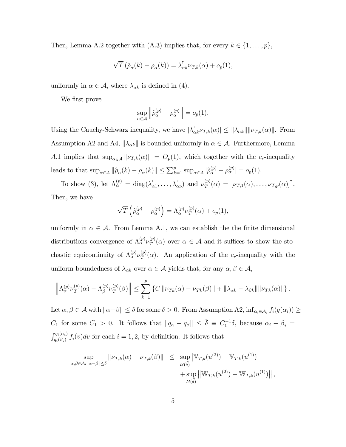Then, Lemma A.2 together with (A.3) implies that, for every  $k \in \{1, \ldots, p\}$ ,

$$
\sqrt{T}(\hat{\rho}_{\alpha}(k) - \rho_{\alpha}(k)) = \lambda_{\alpha k}^{\dagger} \nu_{T,k}(\alpha) + o_p(1),
$$

uniformly in  $\alpha \in \mathcal{A}$ , where  $\lambda_{\alpha k}$  is defined in (4).

We first prove

$$
\sup_{\alpha \in \mathcal{A}} \left\| \hat{\rho}_{\alpha}^{(p)} - \rho_{\alpha}^{(p)} \right\| = o_p(1).
$$

Using the Cauchy-Schwarz inequality, we have  $|\lambda_{\alpha k}^{\dagger} \nu_{T,k}(\alpha)| \leq ||\lambda_{\alpha k}|| ||\nu_{T,k}(\alpha)||$ . From Assumption A2 and A4,  $\|\lambda_{\alpha k}\|$  is bounded uniformly in  $\alpha \in \mathcal{A}$ . Furthermore, Lemma A.1 implies that  $\sup_{\alpha \in \mathcal{A}} ||\nu_{T,k}(\alpha)|| = O_p(1)$ , which together with the c<sub>r</sub>-inequality leads to that  $\sup_{\alpha \in A} ||\hat{\rho}_{\alpha}(k) - \rho_{\alpha}(k)|| \le \sum_{k=1}^{p} \sup_{\alpha \in A} |\hat{\rho}_{\alpha}^{(p)} - \rho_{\alpha}^{(p)}| = o_p(1).$ 

To show (3), let  $\Lambda_{\alpha}^{(p)} = \text{diag}(\lambda_{\alpha}^{\dagger})$  $\lambda_{\alpha 1}^{\dagger}, \ldots, \lambda_{\alpha p}^{\dagger}$  and  $\nu_{T}^{(p)}$  $T^{(p)}_T(\alpha) = [\nu_{T,1}(\alpha), \ldots, \nu_{T,p}(\alpha)]^{\intercal}.$ Then, we have

$$
\sqrt{T}\left(\hat{\rho}_{\alpha}^{(p)}-\rho_{\alpha}^{(p)}\right)=\Lambda_{\alpha}^{(p)}\nu_{T}^{(p)}(\alpha)+o_{p}(1),
$$

uniformly in  $\alpha \in \mathcal{A}$ . From Lemma A.1, we can establish the the finite dimensional distributions convergence of  $\Lambda_{\alpha}^{(p)} \nu_{\mathcal{T}}^{(p)}$  $T(T^{(p)}(a))$  over  $\alpha \in \mathcal{A}$  and it suffices to show the stochastic equicontinuity of  $\Lambda_{\alpha}^{(p)} \nu_{T}^{(p)}$  $T(T)$  ( $\alpha$ ). An application of the c<sub>r</sub>-inequality with the uniform boundedness of  $\lambda_{\alpha k}$  over  $\alpha \in \mathcal{A}$  yields that, for any  $\alpha, \beta \in \mathcal{A}$ ,

$$
\left\|\Lambda_{\alpha}^{(p)}\nu_T^{(p)}(\alpha)-\Lambda_{\beta}^{(p)}\nu_T^{(p)}(\beta)\right\| \leq \sum_{k=1}^p \left\{C\left\|\nu_{Tk}(\alpha)-\nu_{Tk}(\beta)\right\|+\left\|\lambda_{\alpha k}-\lambda_{\beta k}\right\|\left\|\nu_{Tk}(\alpha)\right\|\right\}.
$$

Let  $\alpha, \beta \in \mathcal{A}$  with  $\|\alpha-\beta\| \leq \delta$  for some  $\delta > 0$ . From Assumption A2,  $\inf_{\alpha_i \in \mathcal{A}_i} f_i(q(\alpha_i)) \geq$  $C_1$  for some  $C_1 > 0$ . It follows that  $||q_{\alpha} - q_{\beta}|| \leq \tilde{\delta} \equiv C_1^{-1}\delta$ , because  $\alpha_i - \beta_i =$  $\int_{q_i(\beta_i)}^{q_i(\alpha_i)} f_i(v) dv$  for each  $i = 1, 2$ , by definition. It follows that

$$
\sup_{\alpha,\beta\in\mathcal{A}:\|\alpha-\beta\|\leq\delta} \|\nu_{T,k}(\alpha)-\nu_{T,k}(\beta)\| \leq \sup_{\mathcal{U}(\tilde{\delta})} \left|\mathbb{V}_{T,k}(u^{(2)})-\mathbb{V}_{T,k}(u^{(1)})\right| \n+ \sup_{\mathcal{U}(\tilde{\delta})} \left|\left|\mathbb{W}_{T,k}(u^{(2)})-\mathbb{W}_{T,k}(u^{(1)})\right|\right|,
$$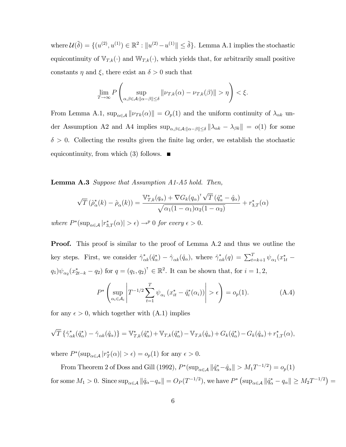where  $\mathcal{U}(\tilde{\delta}) = \{(u^{(2)}, u^{(1)}) \in \mathbb{R}^2 : ||u^{(2)} - u^{(1)}|| \leq \tilde{\delta}\}\)$ . Lemma A.1 implies the stochastic equicontinuity of  $\mathbb{V}_{T,k}(\cdot)$  and  $\mathbb{W}_{T,k}(\cdot)$ , which yields that, for arbitrarily small positive constants  $\eta$  and  $\xi$ , there exist an  $\delta > 0$  such that

$$
\lim_{T\to\infty} P\left(\sup_{\alpha,\beta\in\mathcal{A}:\|\alpha-\beta\|\leq\delta}\|\nu_{T,k}(\alpha)-\nu_{T,k}(\beta)\|>\eta\right)<\xi.
$$

From Lemma A.1,  $\sup_{\alpha \in \mathcal{A}} ||\nu_{Tk}(\alpha)|| = O_p(1)$  and the uniform continuity of  $\lambda_{\alpha k}$  under Assumption A2 and A4 implies  $\sup_{\alpha,\beta\in\mathcal{A}:||\alpha-\beta||\leq\delta}||\lambda_{\alpha k} - \lambda_{\beta k}|| = o(1)$  for some  $\delta > 0$ . Collecting the results given the finite lag order, we establish the stochastic equicontinuity, from which  $(3)$  follows.  $\blacksquare$ 

**Lemma A.3** Suppose that Assumption  $A1-A5$  hold. Then,

$$
\sqrt{T}(\hat{\rho}_{\alpha}^*(k) - \hat{\rho}_{\alpha}(k)) = \frac{\mathbb{V}_{T,k}^*(q_{\alpha}) + \nabla G_k(q_{\alpha})^\mathsf{T}\sqrt{T}(\hat{q}_{\alpha}^* - \hat{q}_{\alpha})}{\sqrt{\alpha_1(1 - \alpha_1)\alpha_2(1 - \alpha_2)}} + r_{3,T}^*(\alpha)
$$

where  $P^*(\sup_{\alpha \in A} |r_{3,T}^*(\alpha)| > \epsilon) \rightarrow^p 0$  for every  $\epsilon > 0$ .

**Proof.** This proof is similar to the proof of Lemma A.2 and thus we outline the key steps. First, we consider  $\hat{\gamma}_{\alpha k}^*(\hat{q}_{\alpha}^*) - \hat{\gamma}_{\alpha k}(\hat{q}_{\alpha})$ , where  $\hat{\gamma}_{\alpha k}^*(q) = \sum_{t=k+1}^T \psi_{\alpha_1}(x_{1t}^*) (q_1)\psi_{\alpha_2}(x_{2t-k}^* - q_2)$  for  $q = (q_1, q_2)^{\dagger} \in \mathbb{R}^2$ . It can be shown that, for  $i = 1, 2$ ,

$$
P^* \left( \sup_{\alpha_i \in \mathcal{A}_i} \left| T^{-1/2} \sum_{t=1}^T \psi_{\alpha_i} \left( x_{it}^* - \hat{q}_i^* (\alpha_i) \right) \right| > \epsilon \right) = o_p(1). \tag{A.4}
$$

for any  $\epsilon > 0$ , which together with  $(A.1)$  implies

$$
\sqrt{T}\left\{\hat{\gamma}_{\alpha k}^*(\hat{q}_{\alpha}^*) - \hat{\gamma}_{\alpha k}(\hat{q}_{\alpha})\right\} = \mathbb{V}_{T,k}^*(\hat{q}_{\alpha}^*) + \mathbb{V}_{T,k}(\hat{q}_{\alpha}^*) - \mathbb{V}_{T,k}(\hat{q}_{\alpha}) + G_k(\hat{q}_{\alpha}^*) - G_k(\hat{q}_{\alpha}) + r_{1,T}^*(\alpha),
$$

where  $P^*(\sup_{\alpha \in \mathcal{A}} |r_T^*(\alpha)| > \epsilon) = o_p(1)$  for any  $\epsilon > 0$ .

From Theorem 2 of Doss and Gill (1992),  $P^*(\sup_{\alpha \in A} || \hat{q}_\alpha^* - \hat{q}_\alpha || > M_1T^{-1/2}) = o_p(1)$ for some  $M_1 > 0$ . Since  $\sup_{\alpha \in \mathcal{A}} ||\hat{q}_{\alpha} - q_{\alpha}|| = O_P (T^{-1/2})$ , we have  $P^*$   $(\sup_{\alpha \in \mathcal{A}} ||\hat{q}_{\alpha}^* - q_{\alpha}|| \ge M_2 T^{-1/2}) =$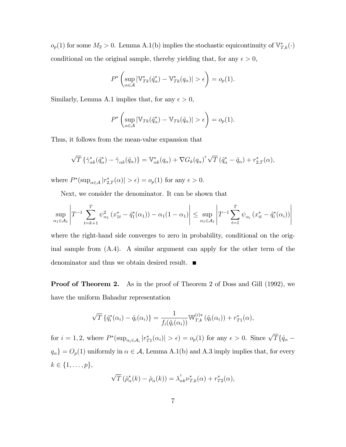$o_p(1)$  for some  $M_2 > 0$ . Lemma A.1(b) implies the stochastic equicontinuity of  $\mathbb{V}_{T,k}^*(\cdot)$ conditional on the original sample, thereby yielding that, for any  $\epsilon > 0$ ,

$$
P^* \left( \sup_{\alpha \in \mathcal{A}} |\mathbb{V}_{Tk}^*(\hat{q}_{\alpha}^*) - \mathbb{V}_{Tk}^*(q_{\alpha})| > \epsilon \right) = o_p(1).
$$

Similarly, Lemma A.1 implies that, for any  $\epsilon > 0$ ,

$$
P^* \left( \sup_{\alpha \in \mathcal{A}} |\mathbb{V}_{Tk}(\hat{q}_{\alpha}^*) - \mathbb{V}_{Tk}(\hat{q}_{\alpha})| > \epsilon \right) = o_p(1).
$$

Thus, it follows from the mean-value expansion that

$$
\sqrt{T}\left\{\hat{\gamma}_{\alpha k}^*(\hat{q}_{\alpha}^*)-\hat{\gamma}_{\alpha k}(\hat{q}_{\alpha})\right\}=\mathbb{V}_{\alpha k}^*(q_{\alpha})+\nabla G_k(q_{\alpha})^{\mathsf{T}}\sqrt{T}(\hat{q}_{\alpha}^*-\hat{q}_{\alpha})+r_{2,T}^*(\alpha),
$$

where  $P^*(\sup_{\alpha \in A} |r^*_{2,T}(\alpha)| > \epsilon) = o_p(1)$  for any  $\epsilon > 0$ .

Next, we consider the denominator. It can be shown that

$$
\sup_{\alpha_1 \in \mathcal{A}_1} \left| T^{-1} \sum_{t=k+1}^T \psi_{\alpha_1}^2 (x_{1t}^* - \hat{q}_1^*(\alpha_1)) - \alpha_1 (1 - \alpha_1) \right| \le \sup_{\alpha_1 \in \mathcal{A}_1} \left| T^{-1} \sum_{t=1}^T \psi_{\alpha_i} (x_{it}^* - \hat{q}_i^*(\alpha_i)) \right|
$$

where the right-hand side converges to zero in probability, conditional on the original sample from (A.4). A similar argument can apply for the other term of the denominator and thus we obtain desired result.

**Proof of Theorem 2.** As in the proof of Theorem 2 of Doss and Gill (1992), we have the uniform Bahadur representation

$$
\sqrt{T} \left\{ \hat{q}_i^*(\alpha_i) - \hat{q}_i(\alpha_i) \right\} = \frac{1}{f_i(\hat{q}_i(\alpha_i))} \mathbb{W}_{T,k}^{(i)*} (\hat{q}_i(\alpha_i)) + r_{T1}^*(\alpha),
$$

for  $i = 1, 2$ , where  $P^*(\sup_{\alpha_i \in A_i} |r_{T_1}^*(\alpha_i)| > \epsilon) = o_p(1)$  for any  $\epsilon > 0$ . Since  $\sqrt{T} \{\hat{q}_\alpha - \hat{q}_\alpha\}$  $q_{\alpha}$ } =  $O_p(1)$  uniformly in  $\alpha \in \mathcal{A}$ , Lemma A.1(b) and A.3 imply implies that, for every  $k \in \{1, \ldots, p\},\$ 

$$
\sqrt{T} \left( \hat{\rho}_{\alpha}^*(k) - \hat{\rho}_{\alpha}(k) \right) = \lambda_{\alpha k}^{\dagger} \nu_{T,k}^*(\alpha) + r_{T2}^*(\alpha),
$$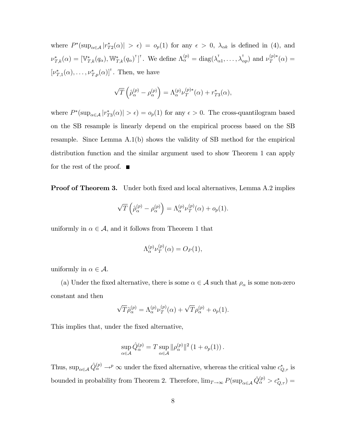where  $P^*(\sup_{\alpha \in \mathcal{A}} |r_{T2}^*(\alpha)| > \epsilon) = o_p(1)$  for any  $\epsilon > 0$ ,  $\lambda_{\alpha k}$  is defined in (4), and  $\nu^*_{T,k}(\alpha) = [\mathbb{V}^*_{T,k}(q_\alpha), \mathbb{W}^*_{T,k}(q_\alpha)^\intercal]^\intercal$ . We define  $\Lambda_\alpha^{(p)} = \text{diag}(\lambda_\alpha^\intercal)$  $\big(\begin{smallmatrix} \n\mathbf{I} & \dots & \dots & \dots \\ \n\alpha_1 & \dots & \dots & \dots \n\end{smallmatrix}\big)$  and  $\nu_T^{(p)*}(\alpha) =$  $[\nu^*_{T,1}(\alpha), \ldots, \nu^*_{T,p}(\alpha)]^{\dagger}$ . Then, we have

$$
\sqrt{T}\left(\hat{\rho}_{\alpha}^{(p)}-\rho_{\alpha}^{(p)}\right)=\Lambda_{\alpha}^{(p)}\nu_{T}^{(p)*}(\alpha)+r_{T3}^{*}(\alpha),
$$

where  $P^*(\sup_{\alpha \in A} |r_{T3}^*(\alpha)| > \epsilon) = o_p(1)$  for any  $\epsilon > 0$ . The cross-quantilogram based on the SB resample is linearly depend on the empirical process based on the SB resample. Since Lemma A.1(b) shows the validity of SB method for the empirical distribution function and the similar argument used to show Theorem 1 can apply for the rest of the proof.  $\blacksquare$ 

**Proof of Theorem 3.** Under both fixed and local alternatives, Lemma A.2 implies

$$
\sqrt{T}\left(\hat{\rho}_{\alpha}^{(p)}-\rho_{\alpha}^{(p)}\right)=\Lambda_{\alpha}^{(p)}\nu_{T}^{(p)}(\alpha)+o_{p}(1).
$$

uniformly in  $\alpha \in \mathcal{A}$ , and it follows from Theorem 1 that

$$
\Lambda_{\alpha}^{(p)}\nu_T^{(p)}(\alpha) = O_P(1),
$$

uniformly in  $\alpha \in \mathcal{A}$ .

(a) Under the fixed alternative, there is some  $\alpha \in \mathcal{A}$  such that  $\rho_{\alpha}$  is some non-zero constant and then

$$
\sqrt{T}\hat{\rho}_{\alpha}^{(p)} = \Lambda_{\alpha}^{(p)}\nu_T^{(p)}(\alpha) + \sqrt{T}\rho_{\alpha}^{(p)} + o_p(1).
$$

This implies that, under the fixed alternative,

$$
\sup_{\alpha \in \mathcal{A}} \hat{Q}_{\alpha}^{(p)} = T \sup_{\alpha \in \mathcal{A}} ||\rho_{\alpha}^{(p)}||^2 (1 + o_p(1)).
$$

Thus,  $\sup_{\alpha \in A} \hat{Q}^{(p)}_{\alpha} \to^p \infty$  under the fixed alternative, whereas the critical value  $c^*_{Q,\tau}$  is bounded in probability from Theorem 2. Therefore,  $\lim_{T\to\infty} P(\sup_{\alpha\in\mathcal{A}}\hat{Q}^{(p)}_{\alpha} > c^*_{Q,\tau}) =$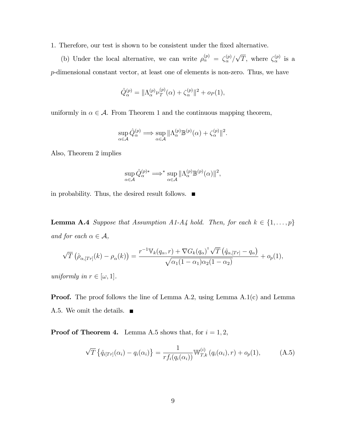1. Therefore, our test is shown to be consistent under the Öxed alternative.

(b) Under the local alternative, we can write  $\rho_{\alpha}^{(p)} = \zeta_{\alpha}^{(p)}$  $\binom{p}{\alpha}/\sqrt{T}$ , where  $\zeta_{\alpha}^{(p)}$  $\alpha^{(p)}$  is a p-dimensional constant vector, at least one of elements is non-zero. Thus, we have

$$
\hat{Q}_{\alpha}^{(p)} = \|\Lambda_{\alpha}^{(p)}\nu_T^{(p)}(\alpha) + \zeta_{\alpha}^{(p)}\|^2 + o_P(1),
$$

uniformly in  $\alpha \in \mathcal{A}$ . From Theorem 1 and the continuous mapping theorem,

$$
\sup_{\alpha \in \mathcal{A}} \hat{Q}_{\alpha}^{(p)} \Longrightarrow \sup_{\alpha \in \mathcal{A}} || \Lambda_{\alpha}^{(p)} \mathbb{B}^{(p)}(\alpha) + \zeta_{\alpha}^{(p)} ||^2.
$$

Also, Theorem 2 implies

$$
\sup_{\alpha \in \mathcal{A}} \hat{Q}_{\alpha}^{(p)*} \implies^* \sup_{\alpha \in \mathcal{A}} \|\Lambda_{\alpha}^{(p)}\mathbb{B}^{(p)}(\alpha)\|^2,
$$

in probability. Thus, the desired result follows.

**Lemma A.4** Suppose that Assumption A1-A4 hold. Then, for each  $k \in \{1, \ldots, p\}$ and for each  $\alpha \in \mathcal{A}$ ,

$$
\sqrt{T}\left(\hat{\rho}_{\alpha,[Tr]}(k) - \rho_{\alpha}(k)\right) = \frac{r^{-1}\mathbb{V}_{k}(q_{\alpha},r) + \nabla G_{k}(q_{\alpha})^{\mathsf{T}}\sqrt{T}\left(\hat{q}_{\alpha,[Tr]} - q_{\alpha}\right)}{\sqrt{\alpha_{1}(1-\alpha_{1})\alpha_{2}(1-\alpha_{2})}} + o_{p}(1),
$$

uniformly in  $r \in [\omega, 1]$ .

Proof. The proof follows the line of Lemma A.2, using Lemma A.1(c) and Lemma A.5. We omit the details.

**Proof of Theorem 4.** Lemma A.5 shows that, for  $i = 1, 2$ ,

$$
\sqrt{T} \left\{ \hat{q}_{i[T_{r}]}(\alpha_{i}) - q_{i}(\alpha_{i}) \right\} = \frac{1}{r f_{i}(q_{i}(\alpha_{i}))} \mathbb{W}_{T,k}^{(i)} \left( q_{i}(\alpha_{i}), r \right) + o_{p}(1), \tag{A.5}
$$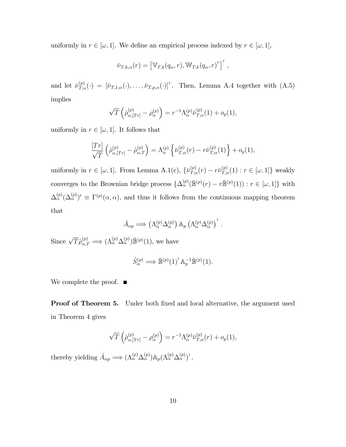uniformly in  $r \in [\omega, 1]$ . We define an empirical process indexed by  $r \in [\omega, 1]$ ,

$$
\bar{\nu}_{T,k,\alpha}(r) = \left[\mathbb{V}_{T,k}(q_{\alpha},r), \mathbb{W}_{T,k}(q_{\alpha},r)^{\mathsf{T}}\right]^{\mathsf{T}},
$$

and let  $\bar{\nu}_{T,\alpha}^{(p)}(\cdot) = [\bar{\nu}_{T,1,\alpha}(\cdot),\ldots,\bar{\nu}_{T,p,\alpha}(\cdot)]^{\dagger}$ . Then, Lemma A.4 together with  $(A.5)$ implies

$$
\sqrt{T}\left(\hat{\rho}_{\alpha,[Tr]}^{(p)}-\rho_{\alpha}^{(p)}\right)=r^{-1}\Lambda_{\alpha}^{(p)}\bar{\nu}_{T,\alpha}^{(p)}(1)+o_p(1),
$$

uniformly in  $r \in [\omega, 1]$ . It follows that

$$
\frac{[Tr]}{\sqrt{T}}\left(\hat{\rho}_{\alpha,[Tr]}^{(p)}-\hat{\rho}_{\alpha,T}^{(p)}\right)=\Lambda_{\alpha}^{(p)}\left\{\bar{\nu}_{T,\alpha}^{(p)}(r)-r\bar{\nu}_{T,\alpha}^{(p)}(1)\right\}+o_p(1),
$$

uniformly in  $r \in [\omega, 1]$ . From Lemma A.1(c),  $\{\bar{\nu}_{T,\alpha}^{(p)}(r) - r\bar{\nu}_{T,\alpha}^{(p)}(1) : r \in [\omega, 1]\}$  weakly converges to the Brownian bridge process  $\{\Delta_{\alpha}^{(p)}(\bar{\mathbb{B}}^{(p)}(r) - r\bar{\mathbb{B}}^{(p)}(1)) : r \in [\omega, 1]\}$  with  $\Delta_{\alpha}^{(p)}(\Delta_{\alpha}^{(p)})' \equiv \Gamma^{(p)}(\alpha, \alpha)$ , and thus it follows from the continuous mapping theorem that

$$
\hat{A}_{\alpha p} \Longrightarrow (\Lambda^{(p)}_{\alpha} \Delta^{(p)}_{\alpha}) \mathbb{A}_p (\Lambda^{(p)}_{\alpha} \Delta^{(p)}_{\alpha})^{\mathsf{T}}.
$$

Since  $\sqrt{T}\hat{\rho}_{\alpha,T}^{(p)} \Longrightarrow (\Lambda_{\alpha}^{(p)}\Delta_{\alpha}^{(p)})\bar{\mathbb{B}}^{(p)}(1)$ , we have

$$
\hat{S}_{\alpha}^{(p)} \Longrightarrow \mathbb{\bar{B}}^{(p)}(1)^{\mathsf{T}} \mathbb{A}_p^{-1} \mathbb{\bar{B}}^{(p)}(1).
$$

We complete the proof.  $\blacksquare$ 

**Proof of Theorem 5.** Under both fixed and local alternative, the argument used in Theorem 4 gives

$$
\sqrt{T}\left(\hat{\rho}_{\alpha,[Tr]}^{(p)}-\rho_{\alpha}^{(p)}\right)=r^{-1}\Lambda_{\alpha}^{(p)}\bar{\nu}_{T,\alpha}^{(p)}(r)+o_p(1),
$$

thereby yielding  $\hat{A}_{\alpha p} \Longrightarrow (\Lambda_{\alpha}^{(p)} \Delta_{\alpha}^{(p)}) \mathbb{A}_p (\Lambda_{\alpha}^{(p)} \Delta_{\alpha}^{(p)})^{\dagger}$ .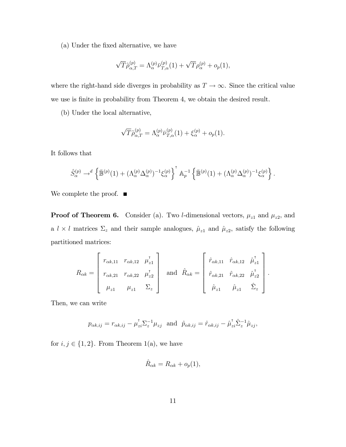(a) Under the Öxed alternative, we have

$$
\sqrt{T}\hat{\rho}_{\alpha,T}^{(p)} = \Lambda_{\alpha}^{(p)}\bar{\nu}_{T,\alpha}^{(p)}(1) + \sqrt{T}\rho_{\alpha}^{(p)} + o_p(1),
$$

where the right-hand side diverges in probability as  $T \to \infty$ . Since the critical value we use is finite in probability from Theorem 4, we obtain the desired result.

(b) Under the local alternative,

$$
\sqrt{T}\hat{\rho}_{\alpha,T}^{(p)} = \Lambda_{\alpha}^{(p)}\bar{\nu}_{T,\alpha}^{(p)}(1) + \xi_{\alpha}^{(p)} + o_p(1).
$$

It follows that

$$
\hat{S}_{\alpha}^{(p)} \to^{d} \left\{ \mathbb{\bar{B}}^{(p)}(1) + (\Lambda_{\alpha}^{(p)} \Delta_{\alpha}^{(p)})^{-1} \xi_{\alpha}^{(p)} \right\}^{\mathsf{T}} \mathbb{A}_{p}^{-1} \left\{ \mathbb{\bar{B}}^{(p)}(1) + (\Lambda_{\alpha}^{(p)} \Delta_{\alpha}^{(p)})^{-1} \xi_{\alpha}^{(p)} \right\}.
$$

We complete the proof.  $\blacksquare$ 

**Proof of Theorem 6.** Consider (a). Two *l*-dimensional vectors,  $\mu_{z1}$  and  $\mu_{z2}$ , and a  $l \times l$  matrices  $\Sigma_z$  and their sample analogues,  $\hat{\mu}_{z1}$  and  $\hat{\mu}_{z2}$ , satisfy the following partitioned matrices:

$$
R_{\alpha k} = \begin{bmatrix} r_{\alpha k, 11} & r_{\alpha k, 12} & \mu_{z1}^{\dagger} \\ r_{\alpha k, 21} & r_{\alpha k, 22} & \mu_{z2}^{\dagger} \\ \mu_{z1} & \mu_{z1} & \Sigma_z \end{bmatrix} \text{ and } \hat{R}_{\alpha k} = \begin{bmatrix} \hat{r}_{\alpha k, 11} & \hat{r}_{\alpha k, 12} & \hat{\mu}_{z1}^{\dagger} \\ \hat{r}_{\alpha k, 21} & \hat{r}_{\alpha k, 22} & \hat{\mu}_{z2}^{\dagger} \\ \hat{\mu}_{z1} & \hat{\mu}_{z1} & \hat{\Sigma}_z \end{bmatrix}.
$$

Then, we can write

$$
p_{\alpha k, ij} = r_{\alpha k, ij} - \mu_{zi}^{\dagger} \Sigma_z^{-1} \mu_{zj}
$$
 and  $\hat{p}_{\alpha k, ij} = \hat{r}_{\alpha k, ij} - \hat{\mu}_{zi}^{\dagger} \hat{\Sigma}_z^{-1} \hat{\mu}_{zj}$ ,

for  $i, j \in \{1, 2\}$ . From Theorem 1(a), we have

$$
\hat{R}_{\alpha k} = R_{\alpha k} + o_p(1),
$$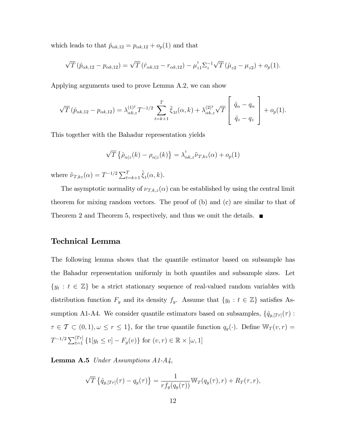which leads to that  $\hat{p}_{\alpha k,12} = p_{\alpha k,12} + o_p(1)$  and that

$$
\sqrt{T}(\hat{p}_{\alpha k,12} - p_{\alpha k,12}) = \sqrt{T}(\hat{r}_{\alpha k,12} - r_{\alpha k,12}) - \mu_{z1}^{\dagger} \Sigma_{z}^{-1} \sqrt{T}(\hat{\mu}_{z2} - \mu_{z2}) + o_{p}(1).
$$

Applying arguments used to prove Lemma A.2, we can show

$$
\sqrt{T}(\hat{p}_{\alpha k,12} - p_{\alpha k,12}) = \lambda_{\alpha k,z}^{(1)^\mathsf{T}} T^{-1/2} \sum_{t=k+1}^T \tilde{\xi}_{1t}(\alpha,k) + \lambda_{\alpha k,z}^{(2)^\mathsf{T}} \sqrt{T} \begin{bmatrix} \hat{q}_\alpha - q_\alpha \\ \hat{q}_z - q_z \end{bmatrix} + o_p(1).
$$

This together with the Bahadur representation yields

$$
\sqrt{T}\left\{\hat{\rho}_{\alpha|z}(k) - \rho_{\alpha|z}(k)\right\} = \lambda_{\alpha k,z}^{\dagger} \tilde{\nu}_{T,kz}(\alpha) + o_p(1)
$$

where  $\tilde{\nu}_{T,kz}(\alpha) = T^{-1/2} \sum_{t=k+1}^{T} \tilde{\xi}_t(\alpha, k)$ .

The asymptotic normality of  $\nu_{T,k,z}(\alpha)$  can be established by using the central limit theorem for mixing random vectors. The proof of (b) and (c) are similar to that of Theorem 2 and Theorem 5, respectively, and thus we omit the details.  $\blacksquare$ 

#### Technical Lemma

The following lemma shows that the quantile estimator based on subsample has the Bahadur representation uniformly in both quantiles and subsample sizes. Let  ${y_t : t \in \mathbb{Z}}$  be a strict stationary sequence of real-valued random variables with distribution function  $F_y$  and its density  $f_y$ . Assume that  $\{y_t : t \in \mathbb{Z}\}\$  satisfies Assumption A1-A4. We consider quantile estimators based on subsamples,  $\{\hat{q}_{y,[Tr]}(\tau)$ :  $\tau \in \mathcal{T} \subset (0, 1), \omega \leq r \leq 1$ , for the true quantile function  $q_y(\cdot)$ . Define  $\mathbb{W}_T(v, r) =$  $T^{-1/2} \sum_{t=1}^{[Tr]} \{1[y_t \le v] - F_y(v)\}$  for  $(v, r) \in \mathbb{R} \times [\omega, 1]$ 

**Lemma A.5** Under Assumptions  $A1-A4$ ,

$$
\sqrt{T}\left\{\hat{q}_{y,[Tr]}(\tau)-q_y(\tau)\right\}=\frac{1}{rf_y(q_y(\tau))}\mathbb{W}_T(q_y(\tau),r)+R_T(\tau,r),
$$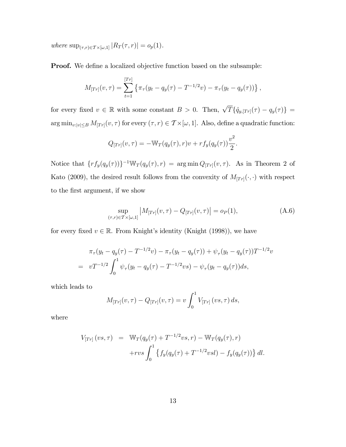where  $\sup_{(\tau,r)\in\mathcal{T}\times[\omega,1]}|R_T(\tau,r)|=o_p(1).$ 

**Proof.** We define a localized objective function based on the subsample:

$$
M_{[Tr]}(v,\tau) = \sum_{t=1}^{[Tr]} \left\{ \pi_{\tau}(y_t - q_y(\tau) - T^{-1/2}v) - \pi_{\tau}(y_t - q_y(\tau)) \right\},\,
$$

for every fixed  $v \in \mathbb{R}$  with some constant  $B > 0$ . Then,  $\sqrt{T} {\{\hat{q}_{y,[Tr]}(\tau) - q_y(\tau)\}} =$  $\arg \min_{v:|v| \leq B} M_{[Tr]}(v, \tau)$  for every  $(\tau, r) \in \mathcal{T} \times [\omega, 1]$ . Also, define a quadratic function:

$$
Q_{[Tr]}(v,\tau) = -\mathbb{W}_T(q_y(\tau),r)v + rf_y(q_y(\tau))\frac{v^2}{2}.
$$

Notice that  $\{rf_y(q_y(\tau))\}^{-1}\mathbb{W}_T(q_y(\tau),r) = \arg \min Q_{[Tr]}(v,\tau)$ . As in Theorem 2 of Kato (2009), the desired result follows from the convexity of  $M_{[Tr]}(\cdot, \cdot)$  with respect to the Örst argument, if we show

$$
\sup_{(\tau,r)\in T\times[\omega,1]} |M_{[Tr]}(v,\tau) - Q_{[Tr]}(v,\tau)| = o_P(1),
$$
\n(A.6)

for every fixed  $v \in \mathbb{R}$ . From Knight's identity (Knight (1998)), we have

$$
\pi_{\tau}(y_t - q_y(\tau) - T^{-1/2}v) - \pi_{\tau}(y_t - q_y(\tau)) + \psi_{\tau}(y_t - q_y(\tau))T^{-1/2}v
$$
  
= 
$$
vT^{-1/2} \int_0^1 \psi_{\tau}(y_t - q_y(\tau) - T^{-1/2}vs) - \psi_{\tau}(y_t - q_y(\tau))ds,
$$

which leads to

$$
M_{[Tr]}(v,\tau) - Q_{[Tr]}(v,\tau) = v \int_0^1 V_{[Tr]}(vs,\tau) \, ds,
$$

where

$$
V_{[Tr]}(vs,\tau) = \mathbb{W}_T(q_y(\tau) + T^{-1/2}vs, r) - \mathbb{W}_T(q_y(\tau), r) + rvs \int_0^1 \left\{ f_y(q_y(\tau) + T^{-1/2}vsl) - f_y(q_y(\tau)) \right\} dl.
$$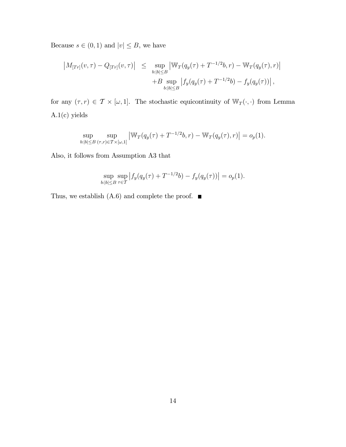Because  $s\in (0,1)$  and  $|v|\leq B,$  we have

$$
\begin{array}{rcl} \left| M_{[Tr]}(v,\tau) - Q_{[Tr]}(v,\tau) \right| & \leq & \sup_{b:|b| \leq B} \left| \mathbb{W}_T(q_y(\tau) + T^{-1/2}b, r) - \mathbb{W}_T(q_y(\tau), r) \right| \\ & & \left| B \sup_{b:|b| \leq B} \left| f_y(q_y(\tau) + T^{-1/2}b) - f_y(q_y(\tau)) \right|, \end{array}
$$

for any  $(\tau, r) \in \mathcal{T} \times [\omega, 1]$ . The stochastic equicontinuity of  $\mathbb{W}_T(\cdot, \cdot)$  from Lemma A.1(c) yields

$$
\sup_{b:|b| \leq B} \sup_{(\tau,r) \in T \times [\omega,1]} \left| \mathbb{W}_T(q_y(\tau) + T^{-1/2}b, r) - \mathbb{W}_T(q_y(\tau), r) \right| = o_p(1).
$$

Also, it follows from Assumption A3 that

$$
\sup_{b:|b| \le B} \sup_{\tau \in \mathcal{T}} |f_y(q_y(\tau) + T^{-1/2}b) - f_y(q_y(\tau))| = o_p(1).
$$

Thus, we establish (A.6) and complete the proof.  $\blacksquare$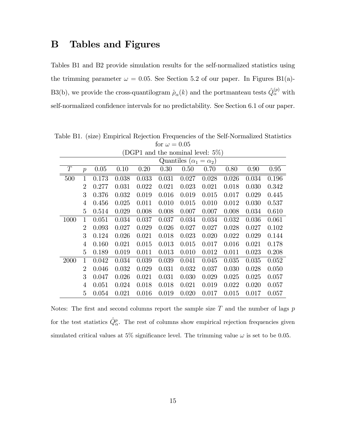## B Tables and Figures

Tables B1 and B2 provide simulation results for the self-normalized statistics using the trimming parameter  $\omega = 0.05$ . See Section 5.2 of our paper. In Figures B1(a)-B3(b), we provide the cross-quantilogram  $\hat{\rho}_{\alpha}(k)$  and the portmanteau tests  $\hat{Q}^{(p)}_{\alpha}$  with self-normalized confidence intervals for no predictability. See Section 6.1 of our paper.

| (DGP1 and the nominal level: $5\%$ ) |                                     |       |       |       |       |       |       |       |       |       |  |
|--------------------------------------|-------------------------------------|-------|-------|-------|-------|-------|-------|-------|-------|-------|--|
|                                      | Quantiles ( $\alpha_1 = \alpha_2$ ) |       |       |       |       |       |       |       |       |       |  |
| T                                    | $\overline{p}$                      | 0.05  | 0.10  | 0.20  | 0.30  | 0.50  | 0.70  | 0.80  | 0.90  | 0.95  |  |
| 500                                  | 1                                   | 0.173 | 0.038 | 0.033 | 0.031 | 0.027 | 0.028 | 0.026 | 0.034 | 0.196 |  |
|                                      | $\overline{2}$                      | 0.277 | 0.031 | 0.022 | 0.021 | 0.023 | 0.021 | 0.018 | 0.030 | 0.342 |  |
|                                      | 3                                   | 0.376 | 0.032 | 0.019 | 0.016 | 0.019 | 0.015 | 0.017 | 0.029 | 0.445 |  |
|                                      | 4                                   | 0.456 | 0.025 | 0.011 | 0.010 | 0.015 | 0.010 | 0.012 | 0.030 | 0.537 |  |
|                                      | 5                                   | 0.514 | 0.029 | 0.008 | 0.008 | 0.007 | 0.007 | 0.008 | 0.034 | 0.610 |  |
| 1000                                 | 1                                   | 0.051 | 0.034 | 0.037 | 0.037 | 0.034 | 0.034 | 0.032 | 0.036 | 0.061 |  |
|                                      | $\overline{2}$                      | 0.093 | 0.027 | 0.029 | 0.026 | 0.027 | 0.027 | 0.028 | 0.027 | 0.102 |  |
|                                      | 3                                   | 0.124 | 0.026 | 0.021 | 0.018 | 0.023 | 0.020 | 0.022 | 0.029 | 0.144 |  |
|                                      | 4                                   | 0.160 | 0.021 | 0.015 | 0.013 | 0.015 | 0.017 | 0.016 | 0.021 | 0.178 |  |
|                                      | 5                                   | 0.189 | 0.019 | 0.011 | 0.013 | 0.010 | 0.012 | 0.011 | 0.023 | 0.208 |  |
| 2000                                 | 1                                   | 0.042 | 0.034 | 0.039 | 0.039 | 0.041 | 0.045 | 0.035 | 0.035 | 0.052 |  |
|                                      | $\overline{2}$                      | 0.046 | 0.032 | 0.029 | 0.031 | 0.032 | 0.037 | 0.030 | 0.028 | 0.050 |  |
|                                      | 3                                   | 0.047 | 0.026 | 0.021 | 0.031 | 0.030 | 0.029 | 0.025 | 0.025 | 0.057 |  |
|                                      | 4                                   | 0.051 | 0.024 | 0.018 | 0.018 | 0.021 | 0.019 | 0.022 | 0.020 | 0.057 |  |
|                                      | 5                                   | 0.054 | 0.021 | 0.016 | 0.019 | 0.020 | 0.017 | 0.015 | 0.017 | 0.057 |  |

Table B1. (size) Empirical Rejection Frequencies of the Self-Normalized Statistics for  $\omega = 0.05$ 

Notes: The first and second columns report the sample size  $T$  and the number of lags  $p$ for the test statistics  $\hat{Q}^p_\alpha$ . The rest of columns show empirical rejection frequencies given simulated critical values at 5% significance level. The trimming value  $\omega$  is set to be 0.05.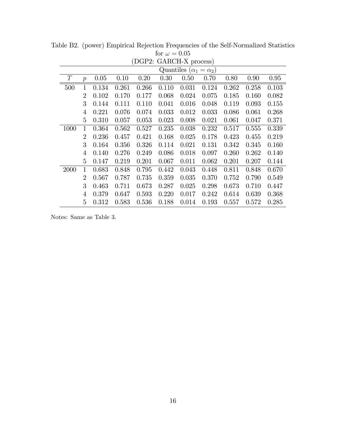| (DGP2: GARCH-X process) |                  |                                   |       |       |       |       |       |       |       |       |  |  |
|-------------------------|------------------|-----------------------------------|-------|-------|-------|-------|-------|-------|-------|-------|--|--|
|                         |                  | Quantiles $(\alpha_1 = \alpha_2)$ |       |       |       |       |       |       |       |       |  |  |
| T                       | $\boldsymbol{p}$ | 0.05                              | 0.10  | 0.20  | 0.30  | 0.50  | 0.70  | 0.80  | 0.90  | 0.95  |  |  |
| 500                     | 1                | 0.134                             | 0.261 | 0.266 | 0.110 | 0.031 | 0.124 | 0.262 | 0.258 | 0.103 |  |  |
|                         | $\overline{2}$   | 0.102                             | 0.170 | 0.177 | 0.068 | 0.024 | 0.075 | 0.185 | 0.160 | 0.082 |  |  |
|                         | 3                | 0.144                             | 0.111 | 0.110 | 0.041 | 0.016 | 0.048 | 0.119 | 0.093 | 0.155 |  |  |
|                         | 4                | 0.221                             | 0.076 | 0.074 | 0.033 | 0.012 | 0.033 | 0.086 | 0.061 | 0.268 |  |  |
|                         | 5                | 0.310                             | 0.057 | 0.053 | 0.023 | 0.008 | 0.021 | 0.061 | 0.047 | 0.371 |  |  |
| 1000                    | 1                | 0.364                             | 0.562 | 0.527 | 0.235 | 0.038 | 0.232 | 0.517 | 0.555 | 0.339 |  |  |
|                         | $\overline{2}$   | 0.236                             | 0.457 | 0.421 | 0.168 | 0.025 | 0.178 | 0.423 | 0.455 | 0.219 |  |  |
|                         | 3                | 0.164                             | 0.356 | 0.326 | 0.114 | 0.021 | 0.131 | 0.342 | 0.345 | 0.160 |  |  |
|                         | 4                | 0.140                             | 0.276 | 0.249 | 0.086 | 0.018 | 0.097 | 0.260 | 0.262 | 0.140 |  |  |
|                         | 5                | 0.147                             | 0.219 | 0.201 | 0.067 | 0.011 | 0.062 | 0.201 | 0.207 | 0.144 |  |  |
| 2000                    | 1                | 0.683                             | 0.848 | 0.795 | 0.442 | 0.043 | 0.448 | 0.811 | 0.848 | 0.670 |  |  |
|                         | $\overline{2}$   | 0.567                             | 0.787 | 0.735 | 0.359 | 0.035 | 0.370 | 0.752 | 0.790 | 0.549 |  |  |
|                         | 3                | 0.463                             | 0.711 | 0.673 | 0.287 | 0.025 | 0.298 | 0.673 | 0.710 | 0.447 |  |  |
|                         | 4                | 0.379                             | 0.647 | 0.593 | 0.220 | 0.017 | 0.242 | 0.614 | 0.639 | 0.368 |  |  |
|                         | 5                | 0.312                             | 0.583 | 0.536 | 0.188 | 0.014 | 0.193 | 0.557 | 0.572 | 0.285 |  |  |

Table B2. (power) Empirical Rejection Frequencies of the Self-Normalized Statistics for  $\omega = 0.05$ 

Notes: Same as Table 3.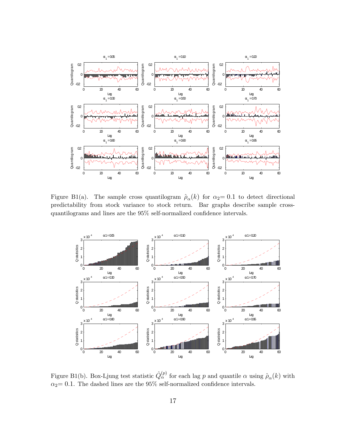

Figure B1(a). The sample cross quantilogram  $\hat{\rho}_{\alpha}(k)$  for  $\alpha_2= 0.1$  to detect directional predictability from stock variance to stock return. Bar graphs describe sample crossquantilograms and lines are the  $95\%$  self-normalized confidence intervals.



Figure B1(b). Box-Ljung test statistic  $\hat{Q}_{\alpha}^{(p)}$  for each lag p and quantile  $\alpha$  using  $\hat{\rho}_{\alpha}(k)$  with  $\alpha_2$  = 0.1. The dashed lines are the 95% self-normalized confidence intervals.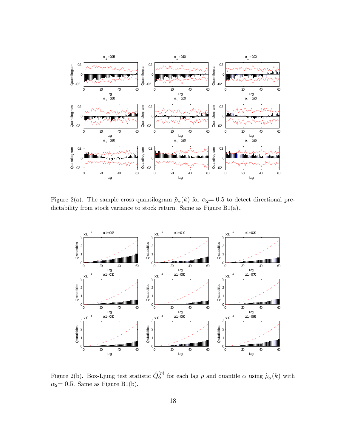

Figure 2(a). The sample cross quantilogram  $\hat{p}_{\alpha}(k)$  for  $\alpha_2= 0.5$  to detect directional predictability from stock variance to stock return. Same as Figure B1(a)..



Figure 2(b). Box-Ljung test statistic  $\hat{Q}^{(p)}_{\alpha}$  for each lag p and quantile  $\alpha$  using  $\hat{\rho}_{\alpha}(k)$  with  $\alpha_2$  = 0.5. Same as Figure B1(b).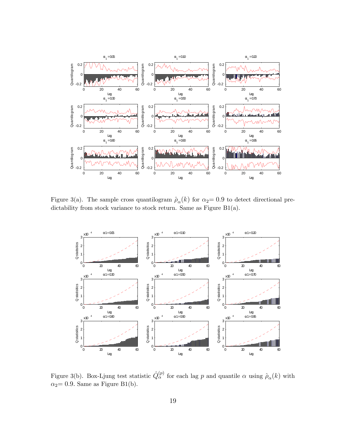

Figure 3(a). The sample cross quantilogram  $\hat{\rho}_{\alpha}(k)$  for  $\alpha_2= 0.9$  to detect directional predictability from stock variance to stock return. Same as Figure B1(a).



Figure 3(b). Box-Ljung test statistic  $\hat{Q}^{(p)}_{\alpha}$  for each lag p and quantile  $\alpha$  using  $\hat{\rho}_{\alpha}(k)$  with  $\alpha_2$  = 0.9. Same as Figure B1(b).